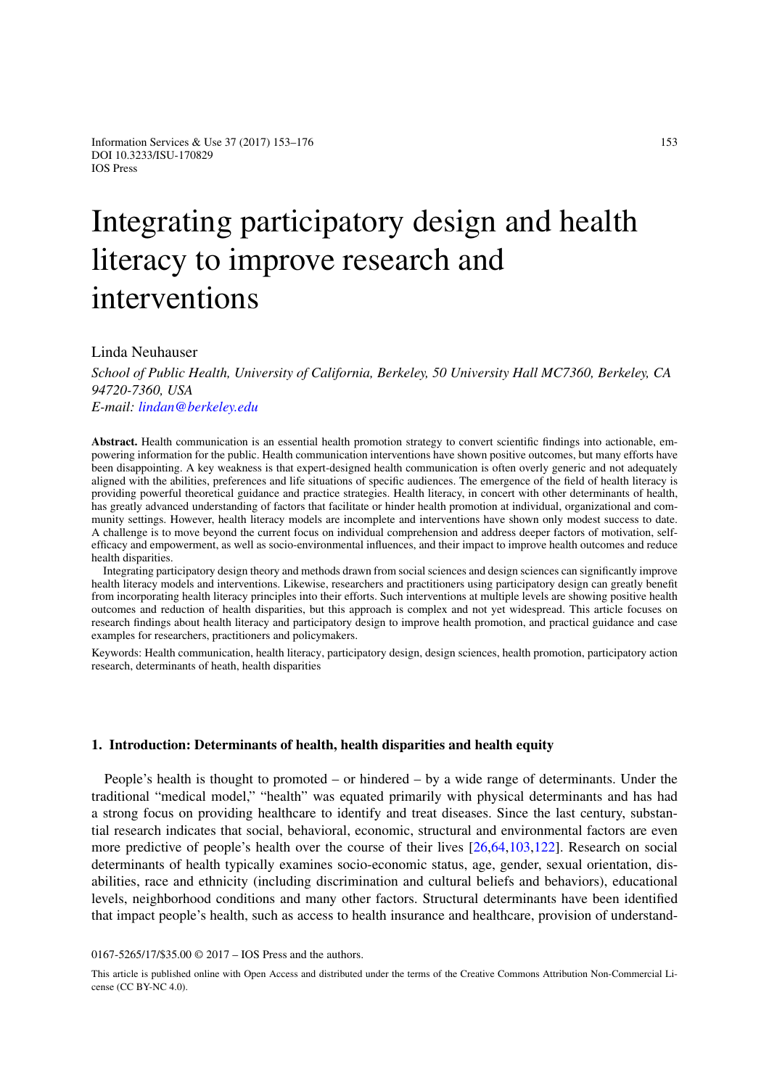Linda Neuhauser

*School of Public Health, University of California, Berkeley, 50 University Hall MC7360, Berkeley, CA 94720-7360, USA E-mail: [lindan@berkeley.edu](mailto:lindan@berkeley.edu)*

**Abstract.** Health communication is an essential health promotion strategy to convert scientific findings into actionable, empowering information for the public. Health communication interventions have shown positive outcomes, but many efforts have been disappointing. A key weakness is that expert-designed health communication is often overly generic and not adequately aligned with the abilities, preferences and life situations of specific audiences. The emergence of the field of health literacy is providing powerful theoretical guidance and practice strategies. Health literacy, in concert with other determinants of health, has greatly advanced understanding of factors that facilitate or hinder health promotion at individual, organizational and community settings. However, health literacy models are incomplete and interventions have shown only modest success to date. A challenge is to move beyond the current focus on individual comprehension and address deeper factors of motivation, selfefficacy and empowerment, as well as socio-environmental influences, and their impact to improve health outcomes and reduce health disparities.

Integrating participatory design theory and methods drawn from social sciences and design sciences can significantly improve health literacy models and interventions. Likewise, researchers and practitioners using participatory design can greatly benefit from incorporating health literacy principles into their efforts. Such interventions at multiple levels are showing positive health outcomes and reduction of health disparities, but this approach is complex and not yet widespread. This article focuses on research findings about health literacy and participatory design to improve health promotion, and practical guidance and case examples for researchers, practitioners and policymakers.

Keywords: Health communication, health literacy, participatory design, design sciences, health promotion, participatory action research, determinants of heath, health disparities

## **1. Introduction: Determinants of health, health disparities and health equity**

People's health is thought to promoted – or hindered – by a wide range of determinants. Under the traditional "medical model," "health" was equated primarily with physical determinants and has had a strong focus on providing healthcare to identify and treat diseases. Since the last century, substantial research indicates that social, behavioral, economic, structural and environmental factors are even more predictive of people's health over the course of their lives [\[26](#page-19-0)[,64](#page-20-0)[,103](#page-22-0)[,122\]](#page-23-0). Research on social determinants of health typically examines socio-economic status, age, gender, sexual orientation, disabilities, race and ethnicity (including discrimination and cultural beliefs and behaviors), educational levels, neighborhood conditions and many other factors. Structural determinants have been identified that impact people's health, such as access to health insurance and healthcare, provision of understand-

0167-5265/17/\$35.00 © 2017 – IOS Press and the authors.

This article is published online with Open Access and distributed under the terms of the Creative Commons Attribution Non-Commercial License (CC BY-NC 4.0).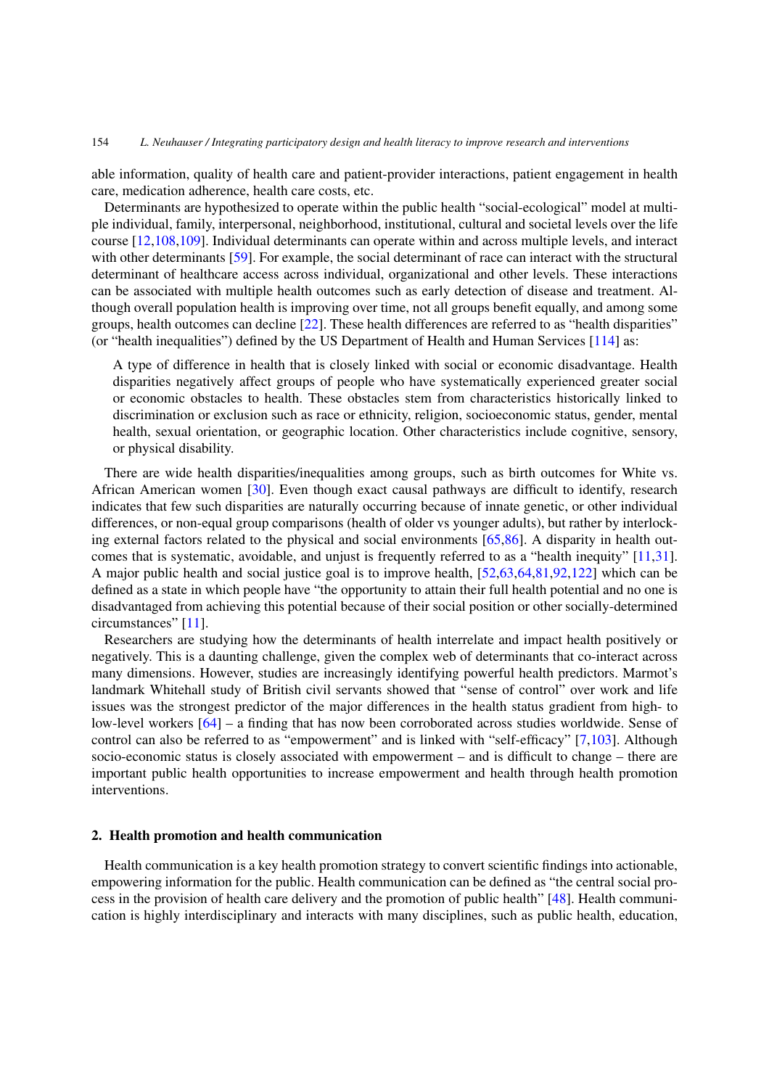able information, quality of health care and patient-provider interactions, patient engagement in health care, medication adherence, health care costs, etc.

Determinants are hypothesized to operate within the public health "social-ecological" model at multiple individual, family, interpersonal, neighborhood, institutional, cultural and societal levels over the life course [\[12](#page-18-0)[,108](#page-22-1)[,109](#page-22-2)]. Individual determinants can operate within and across multiple levels, and interact with other determinants [\[59\]](#page-20-1). For example, the social determinant of race can interact with the structural determinant of healthcare access across individual, organizational and other levels. These interactions can be associated with multiple health outcomes such as early detection of disease and treatment. Although overall population health is improving over time, not all groups benefit equally, and among some groups, health outcomes can decline [\[22](#page-19-1)]. These health differences are referred to as "health disparities" (or "health inequalities") defined by the US Department of Health and Human Services [\[114\]](#page-23-1) as:

A type of difference in health that is closely linked with social or economic disadvantage. Health disparities negatively affect groups of people who have systematically experienced greater social or economic obstacles to health. These obstacles stem from characteristics historically linked to discrimination or exclusion such as race or ethnicity, religion, socioeconomic status, gender, mental health, sexual orientation, or geographic location. Other characteristics include cognitive, sensory, or physical disability.

There are wide health disparities/inequalities among groups, such as birth outcomes for White vs. African American women [\[30\]](#page-19-2). Even though exact causal pathways are difficult to identify, research indicates that few such disparities are naturally occurring because of innate genetic, or other individual differences, or non-equal group comparisons (health of older vs younger adults), but rather by interlocking external factors related to the physical and social environments [\[65](#page-21-0)[,86](#page-21-1)]. A disparity in health outcomes that is systematic, avoidable, and unjust is frequently referred to as a "health inequity" [\[11](#page-18-1)[,31](#page-19-3)]. A major public health and social justice goal is to improve health, [\[52](#page-20-2)[,63](#page-20-3)[,64](#page-20-0)[,81](#page-21-2)[,92](#page-22-3)[,122](#page-23-0)] which can be defined as a state in which people have "the opportunity to attain their full health potential and no one is disadvantaged from achieving this potential because of their social position or other socially-determined circumstances" [\[11](#page-18-1)].

Researchers are studying how the determinants of health interrelate and impact health positively or negatively. This is a daunting challenge, given the complex web of determinants that co-interact across many dimensions. However, studies are increasingly identifying powerful health predictors. Marmot's landmark Whitehall study of British civil servants showed that "sense of control" over work and life issues was the strongest predictor of the major differences in the health status gradient from high- to low-level workers [\[64\]](#page-20-0) – a finding that has now been corroborated across studies worldwide. Sense of control can also be referred to as "empowerment" and is linked with "self-efficacy" [\[7](#page-18-2)[,103](#page-22-0)]. Although socio-economic status is closely associated with empowerment – and is difficult to change – there are important public health opportunities to increase empowerment and health through health promotion interventions.

### **2. Health promotion and health communication**

Health communication is a key health promotion strategy to convert scientific findings into actionable, empowering information for the public. Health communication can be defined as "the central social process in the provision of health care delivery and the promotion of public health" [\[48](#page-20-4)]. Health communication is highly interdisciplinary and interacts with many disciplines, such as public health, education,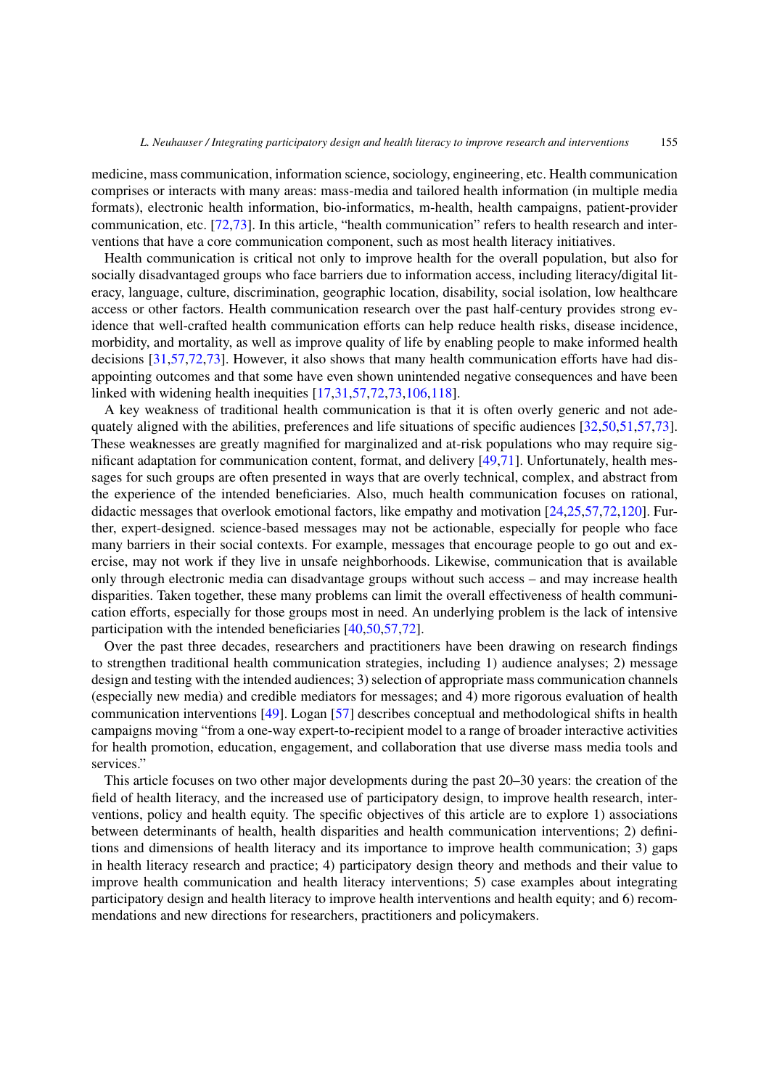medicine, mass communication, information science, sociology, engineering, etc. Health communication comprises or interacts with many areas: mass-media and tailored health information (in multiple media formats), electronic health information, bio-informatics, m-health, health campaigns, patient-provider communication, etc. [\[72](#page-21-3)[,73](#page-21-4)]. In this article, "health communication" refers to health research and interventions that have a core communication component, such as most health literacy initiatives.

Health communication is critical not only to improve health for the overall population, but also for socially disadvantaged groups who face barriers due to information access, including literacy/digital literacy, language, culture, discrimination, geographic location, disability, social isolation, low healthcare access or other factors. Health communication research over the past half-century provides strong evidence that well-crafted health communication efforts can help reduce health risks, disease incidence, morbidity, and mortality, as well as improve quality of life by enabling people to make informed health decisions [\[31](#page-19-3)[,57](#page-20-5)[,72](#page-21-3)[,73\]](#page-21-4). However, it also shows that many health communication efforts have had disappointing outcomes and that some have even shown unintended negative consequences and have been linked with widening health inequities [\[17](#page-19-4)[,31](#page-19-3)[,57](#page-20-5)[,72](#page-21-3)[,73](#page-21-4)[,106](#page-22-4)[,118\]](#page-23-2).

A key weakness of traditional health communication is that it is often overly generic and not adequately aligned with the abilities, preferences and life situations of specific audiences [\[32](#page-19-5)[,50](#page-20-6)[,51](#page-20-7)[,57](#page-20-5)[,73](#page-21-4)]. These weaknesses are greatly magnified for marginalized and at-risk populations who may require significant adaptation for communication content, format, and delivery [\[49](#page-20-8)[,71](#page-21-5)]. Unfortunately, health messages for such groups are often presented in ways that are overly technical, complex, and abstract from the experience of the intended beneficiaries. Also, much health communication focuses on rational, didactic messages that overlook emotional factors, like empathy and motivation [\[24](#page-19-6)[,25](#page-19-7)[,57](#page-20-5)[,72](#page-21-3)[,120\]](#page-23-3). Further, expert-designed. science-based messages may not be actionable, especially for people who face many barriers in their social contexts. For example, messages that encourage people to go out and exercise, may not work if they live in unsafe neighborhoods. Likewise, communication that is available only through electronic media can disadvantage groups without such access – and may increase health disparities. Taken together, these many problems can limit the overall effectiveness of health communication efforts, especially for those groups most in need. An underlying problem is the lack of intensive participation with the intended beneficiaries [\[40](#page-19-8)[,50](#page-20-6)[,57](#page-20-5)[,72\]](#page-21-3).

Over the past three decades, researchers and practitioners have been drawing on research findings to strengthen traditional health communication strategies, including 1) audience analyses; 2) message design and testing with the intended audiences; 3) selection of appropriate mass communication channels (especially new media) and credible mediators for messages; and 4) more rigorous evaluation of health communication interventions [\[49](#page-20-8)]. Logan [\[57](#page-20-5)] describes conceptual and methodological shifts in health campaigns moving "from a one-way expert-to-recipient model to a range of broader interactive activities for health promotion, education, engagement, and collaboration that use diverse mass media tools and services."

This article focuses on two other major developments during the past 20–30 years: the creation of the field of health literacy, and the increased use of participatory design, to improve health research, interventions, policy and health equity. The specific objectives of this article are to explore 1) associations between determinants of health, health disparities and health communication interventions; 2) definitions and dimensions of health literacy and its importance to improve health communication; 3) gaps in health literacy research and practice; 4) participatory design theory and methods and their value to improve health communication and health literacy interventions; 5) case examples about integrating participatory design and health literacy to improve health interventions and health equity; and 6) recommendations and new directions for researchers, practitioners and policymakers.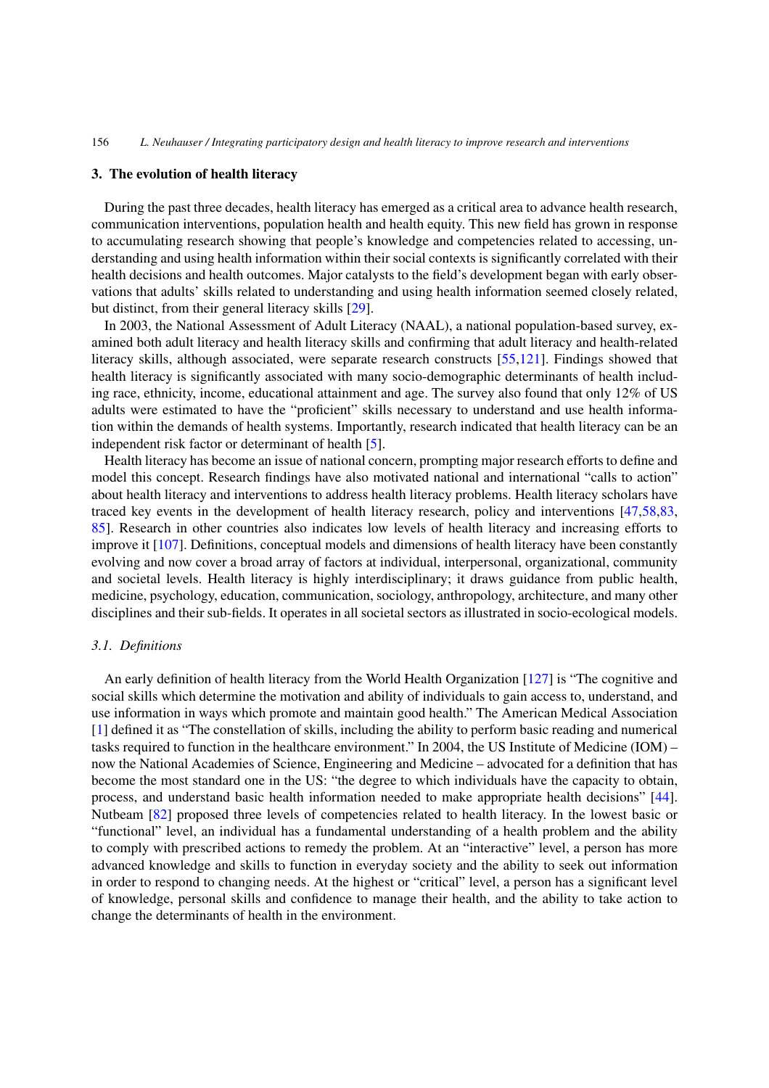## **3. The evolution of health literacy**

During the past three decades, health literacy has emerged as a critical area to advance health research, communication interventions, population health and health equity. This new field has grown in response to accumulating research showing that people's knowledge and competencies related to accessing, understanding and using health information within their social contexts is significantly correlated with their health decisions and health outcomes. Major catalysts to the field's development began with early observations that adults' skills related to understanding and using health information seemed closely related, but distinct, from their general literacy skills [\[29\]](#page-19-9).

In 2003, the National Assessment of Adult Literacy (NAAL), a national population-based survey, examined both adult literacy and health literacy skills and confirming that adult literacy and health-related literacy skills, although associated, were separate research constructs [\[55](#page-20-9)[,121](#page-23-4)]. Findings showed that health literacy is significantly associated with many socio-demographic determinants of health including race, ethnicity, income, educational attainment and age. The survey also found that only 12% of US adults were estimated to have the "proficient" skills necessary to understand and use health information within the demands of health systems. Importantly, research indicated that health literacy can be an independent risk factor or determinant of health [\[5](#page-18-3)].

Health literacy has become an issue of national concern, prompting major research efforts to define and model this concept. Research findings have also motivated national and international "calls to action" about health literacy and interventions to address health literacy problems. Health literacy scholars have traced key events in the development of health literacy research, policy and interventions [\[47](#page-20-10)[,58](#page-20-11)[,83,](#page-21-6) [85\]](#page-21-7). Research in other countries also indicates low levels of health literacy and increasing efforts to improve it [\[107](#page-22-5)]. Definitions, conceptual models and dimensions of health literacy have been constantly evolving and now cover a broad array of factors at individual, interpersonal, organizational, community and societal levels. Health literacy is highly interdisciplinary; it draws guidance from public health, medicine, psychology, education, communication, sociology, anthropology, architecture, and many other disciplines and their sub-fields. It operates in all societal sectors as illustrated in socio-ecological models.

## *3.1. Definitions*

An early definition of health literacy from the World Health Organization [\[127\]](#page-23-5) is "The cognitive and social skills which determine the motivation and ability of individuals to gain access to, understand, and use information in ways which promote and maintain good health." The American Medical Association [\[1\]](#page-18-4) defined it as "The constellation of skills, including the ability to perform basic reading and numerical tasks required to function in the healthcare environment." In 2004, the US Institute of Medicine (IOM) – now the National Academies of Science, Engineering and Medicine – advocated for a definition that has become the most standard one in the US: "the degree to which individuals have the capacity to obtain, process, and understand basic health information needed to make appropriate health decisions" [\[44](#page-20-12)]. Nutbeam [\[82](#page-21-8)] proposed three levels of competencies related to health literacy. In the lowest basic or "functional" level, an individual has a fundamental understanding of a health problem and the ability to comply with prescribed actions to remedy the problem. At an "interactive" level, a person has more advanced knowledge and skills to function in everyday society and the ability to seek out information in order to respond to changing needs. At the highest or "critical" level, a person has a significant level of knowledge, personal skills and confidence to manage their health, and the ability to take action to change the determinants of health in the environment.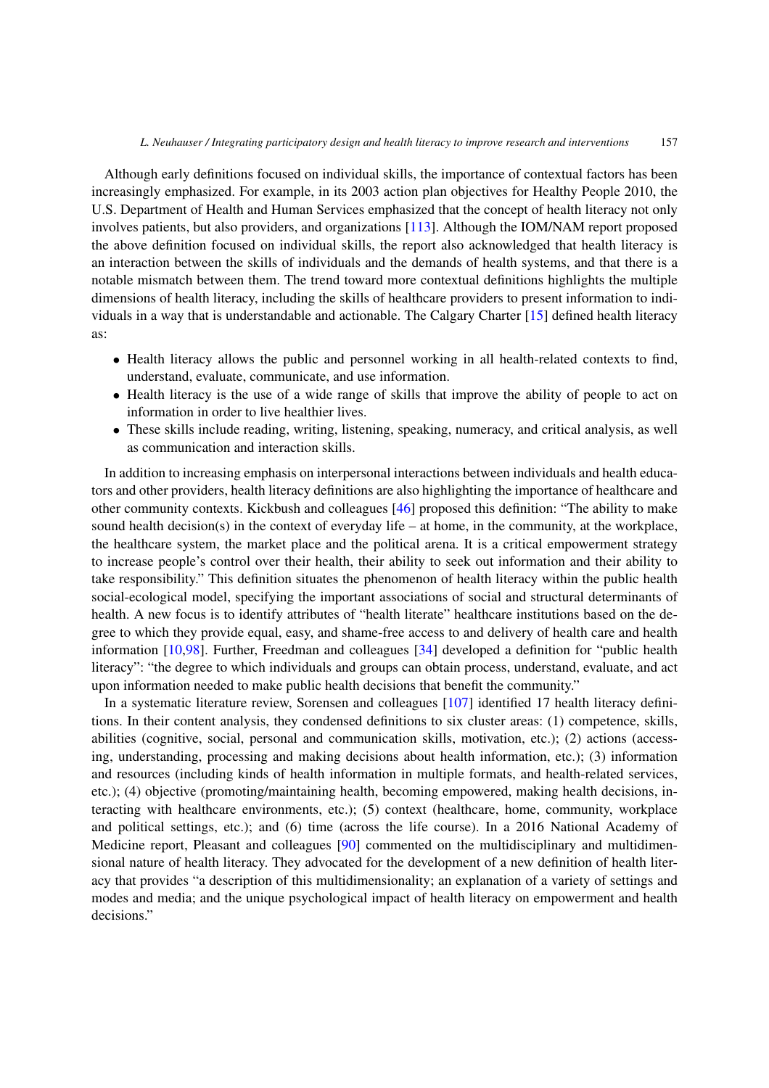Although early definitions focused on individual skills, the importance of contextual factors has been increasingly emphasized. For example, in its 2003 action plan objectives for Healthy People 2010, the U.S. Department of Health and Human Services emphasized that the concept of health literacy not only involves patients, but also providers, and organizations [\[113](#page-23-6)]. Although the IOM/NAM report proposed the above definition focused on individual skills, the report also acknowledged that health literacy is an interaction between the skills of individuals and the demands of health systems, and that there is a notable mismatch between them. The trend toward more contextual definitions highlights the multiple dimensions of health literacy, including the skills of healthcare providers to present information to individuals in a way that is understandable and actionable. The Calgary Charter [\[15\]](#page-19-10) defined health literacy as:

- Health literacy allows the public and personnel working in all health-related contexts to find, understand, evaluate, communicate, and use information.
- Health literacy is the use of a wide range of skills that improve the ability of people to act on information in order to live healthier lives.
- These skills include reading, writing, listening, speaking, numeracy, and critical analysis, as well as communication and interaction skills.

In addition to increasing emphasis on interpersonal interactions between individuals and health educators and other providers, health literacy definitions are also highlighting the importance of healthcare and other community contexts. Kickbush and colleagues [\[46\]](#page-20-13) proposed this definition: "The ability to make sound health decision(s) in the context of everyday life – at home, in the community, at the workplace, the healthcare system, the market place and the political arena. It is a critical empowerment strategy to increase people's control over their health, their ability to seek out information and their ability to take responsibility." This definition situates the phenomenon of health literacy within the public health social-ecological model, specifying the important associations of social and structural determinants of health. A new focus is to identify attributes of "health literate" healthcare institutions based on the degree to which they provide equal, easy, and shame-free access to and delivery of health care and health information [\[10](#page-18-5)[,98\]](#page-22-6). Further, Freedman and colleagues [\[34\]](#page-19-11) developed a definition for "public health literacy": "the degree to which individuals and groups can obtain process, understand, evaluate, and act upon information needed to make public health decisions that benefit the community."

In a systematic literature review, Sorensen and colleagues [\[107\]](#page-22-5) identified 17 health literacy definitions. In their content analysis, they condensed definitions to six cluster areas: (1) competence, skills, abilities (cognitive, social, personal and communication skills, motivation, etc.); (2) actions (accessing, understanding, processing and making decisions about health information, etc.); (3) information and resources (including kinds of health information in multiple formats, and health-related services, etc.); (4) objective (promoting/maintaining health, becoming empowered, making health decisions, interacting with healthcare environments, etc.); (5) context (healthcare, home, community, workplace and political settings, etc.); and (6) time (across the life course). In a 2016 National Academy of Medicine report, Pleasant and colleagues [\[90](#page-22-7)] commented on the multidisciplinary and multidimensional nature of health literacy. They advocated for the development of a new definition of health literacy that provides "a description of this multidimensionality; an explanation of a variety of settings and modes and media; and the unique psychological impact of health literacy on empowerment and health decisions."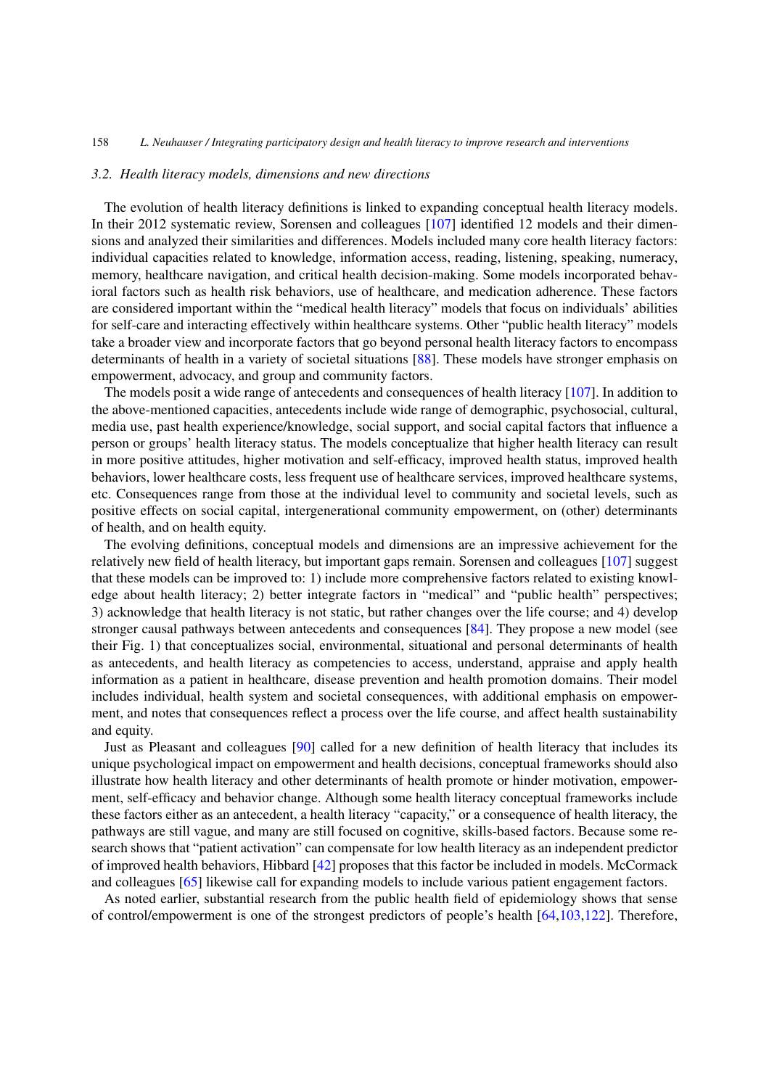## *3.2. Health literacy models, dimensions and new directions*

The evolution of health literacy definitions is linked to expanding conceptual health literacy models. In their 2012 systematic review, Sorensen and colleagues [\[107](#page-22-5)] identified 12 models and their dimensions and analyzed their similarities and differences. Models included many core health literacy factors: individual capacities related to knowledge, information access, reading, listening, speaking, numeracy, memory, healthcare navigation, and critical health decision-making. Some models incorporated behavioral factors such as health risk behaviors, use of healthcare, and medication adherence. These factors are considered important within the "medical health literacy" models that focus on individuals' abilities for self-care and interacting effectively within healthcare systems. Other "public health literacy" models take a broader view and incorporate factors that go beyond personal health literacy factors to encompass determinants of health in a variety of societal situations [\[88\]](#page-21-9). These models have stronger emphasis on empowerment, advocacy, and group and community factors.

The models posit a wide range of antecedents and consequences of health literacy [\[107](#page-22-5)]. In addition to the above-mentioned capacities, antecedents include wide range of demographic, psychosocial, cultural, media use, past health experience/knowledge, social support, and social capital factors that influence a person or groups' health literacy status. The models conceptualize that higher health literacy can result in more positive attitudes, higher motivation and self-efficacy, improved health status, improved health behaviors, lower healthcare costs, less frequent use of healthcare services, improved healthcare systems, etc. Consequences range from those at the individual level to community and societal levels, such as positive effects on social capital, intergenerational community empowerment, on (other) determinants of health, and on health equity.

The evolving definitions, conceptual models and dimensions are an impressive achievement for the relatively new field of health literacy, but important gaps remain. Sorensen and colleagues [\[107](#page-22-5)] suggest that these models can be improved to: 1) include more comprehensive factors related to existing knowledge about health literacy; 2) better integrate factors in "medical" and "public health" perspectives; 3) acknowledge that health literacy is not static, but rather changes over the life course; and 4) develop stronger causal pathways between antecedents and consequences [\[84\]](#page-21-10). They propose a new model (see their Fig. 1) that conceptualizes social, environmental, situational and personal determinants of health as antecedents, and health literacy as competencies to access, understand, appraise and apply health information as a patient in healthcare, disease prevention and health promotion domains. Their model includes individual, health system and societal consequences, with additional emphasis on empowerment, and notes that consequences reflect a process over the life course, and affect health sustainability and equity.

Just as Pleasant and colleagues [\[90](#page-22-7)] called for a new definition of health literacy that includes its unique psychological impact on empowerment and health decisions, conceptual frameworks should also illustrate how health literacy and other determinants of health promote or hinder motivation, empowerment, self-efficacy and behavior change. Although some health literacy conceptual frameworks include these factors either as an antecedent, a health literacy "capacity," or a consequence of health literacy, the pathways are still vague, and many are still focused on cognitive, skills-based factors. Because some research shows that "patient activation" can compensate for low health literacy as an independent predictor of improved health behaviors, Hibbard [\[42](#page-20-14)] proposes that this factor be included in models. McCormack and colleagues [\[65](#page-21-0)] likewise call for expanding models to include various patient engagement factors.

As noted earlier, substantial research from the public health field of epidemiology shows that sense of control/empowerment is one of the strongest predictors of people's health [\[64](#page-20-0)[,103](#page-22-0)[,122\]](#page-23-0). Therefore,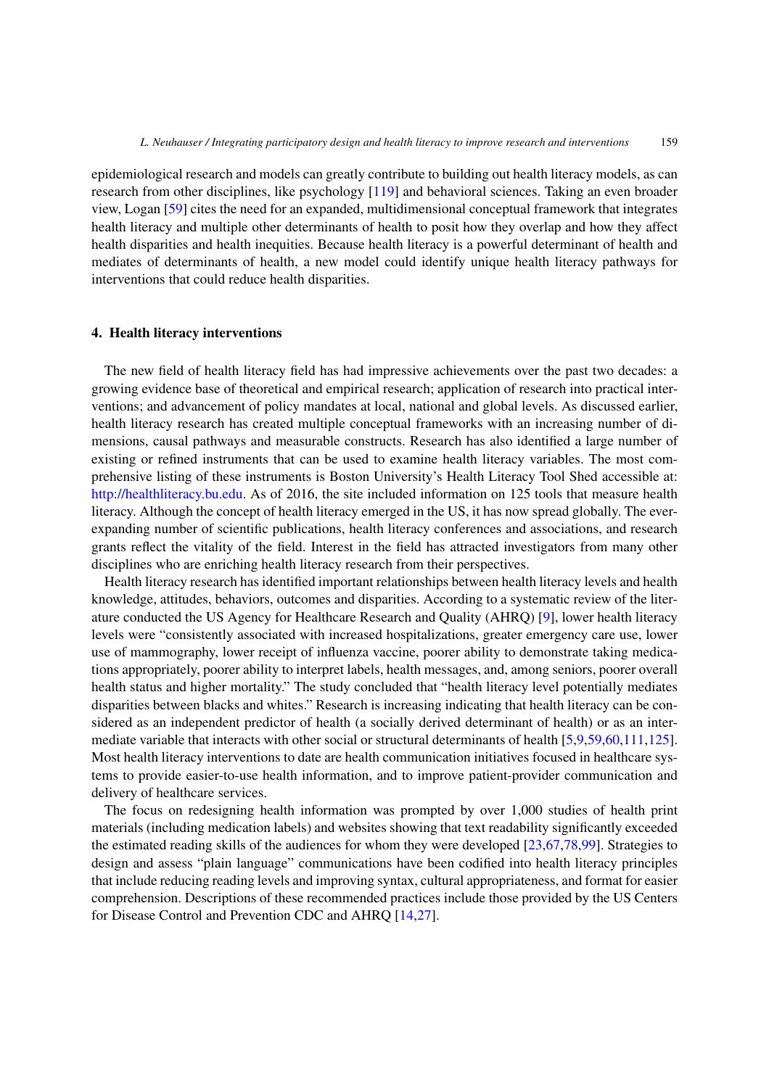epidemiological research and models can greatly contribute to building out health literacy models, as can research from other disciplines, like psychology [\[119](#page-23-7)] and behavioral sciences. Taking an even broader view, Logan [\[59](#page-20-1)] cites the need for an expanded, multidimensional conceptual framework that integrates health literacy and multiple other determinants of health to posit how they overlap and how they affect health disparities and health inequities. Because health literacy is a powerful determinant of health and mediates of determinants of health, a new model could identify unique health literacy pathways for interventions that could reduce health disparities.

## **4. Health literacy interventions**

The new field of health literacy field has had impressive achievements over the past two decades: a growing evidence base of theoretical and empirical research; application of research into practical interventions; and advancement of policy mandates at local, national and global levels. As discussed earlier, health literacy research has created multiple conceptual frameworks with an increasing number of dimensions, causal pathways and measurable constructs. Research has also identified a large number of existing or refined instruments that can be used to examine health literacy variables. The most comprehensive listing of these instruments is Boston University's Health Literacy Tool Shed accessible at: [http://healthliteracy.bu.edu.](http://healthliteracy.bu.edu) As of 2016, the site included information on 125 tools that measure health literacy. Although the concept of health literacy emerged in the US, it has now spread globally. The everexpanding number of scientific publications, health literacy conferences and associations, and research grants reflect the vitality of the field. Interest in the field has attracted investigators from many other disciplines who are enriching health literacy research from their perspectives.

Health literacy research has identified important relationships between health literacy levels and health knowledge, attitudes, behaviors, outcomes and disparities. According to a systematic review of the literature conducted the US Agency for Healthcare Research and Quality (AHRQ) [\[9\]](#page-18-6), lower health literacy levels were "consistently associated with increased hospitalizations, greater emergency care use, lower use of mammography, lower receipt of influenza vaccine, poorer ability to demonstrate taking medications appropriately, poorer ability to interpret labels, health messages, and, among seniors, poorer overall health status and higher mortality." The study concluded that "health literacy level potentially mediates disparities between blacks and whites." Research is increasing indicating that health literacy can be considered as an independent predictor of health (a socially derived determinant of health) or as an intermediate variable that interacts with other social or structural determinants of health [\[5](#page-18-3)[,9](#page-18-6)[,59](#page-20-1)[,60](#page-20-15)[,111](#page-22-8)[,125](#page-23-8)]. Most health literacy interventions to date are health communication initiatives focused in healthcare systems to provide easier-to-use health information, and to improve patient-provider communication and delivery of healthcare services.

The focus on redesigning health information was prompted by over 1,000 studies of health print materials (including medication labels) and websites showing that text readability significantly exceeded the estimated reading skills of the audiences for whom they were developed [\[23](#page-19-12)[,67](#page-21-11)[,78](#page-21-12)[,99](#page-22-9)]. Strategies to design and assess "plain language" communications have been codified into health literacy principles that include reducing reading levels and improving syntax, cultural appropriateness, and format for easier comprehension. Descriptions of these recommended practices include those provided by the US Centers for Disease Control and Prevention CDC and AHRQ [\[14](#page-18-7)[,27\]](#page-19-13).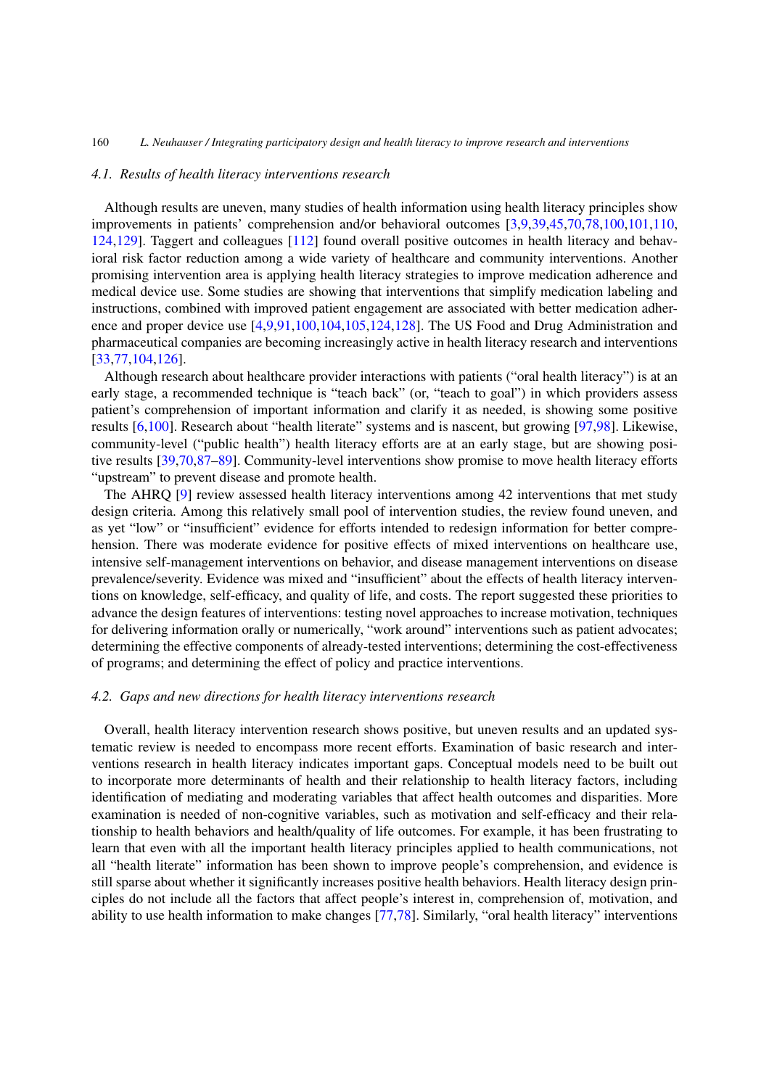### *4.1. Results of health literacy interventions research*

Although results are uneven, many studies of health information using health literacy principles show improvements in patients' comprehension and/or behavioral outcomes [\[3](#page-18-8)[,9](#page-18-6)[,39](#page-19-14)[,45](#page-20-16)[,70](#page-21-13)[,78](#page-21-12)[,100](#page-22-10)[,101](#page-22-11)[,110,](#page-22-12) [124](#page-23-9)[,129\]](#page-23-10). Taggert and colleagues [\[112\]](#page-22-13) found overall positive outcomes in health literacy and behavioral risk factor reduction among a wide variety of healthcare and community interventions. Another promising intervention area is applying health literacy strategies to improve medication adherence and medical device use. Some studies are showing that interventions that simplify medication labeling and instructions, combined with improved patient engagement are associated with better medication adherence and proper device use [\[4](#page-18-9)[,9](#page-18-6)[,91](#page-22-14)[,100](#page-22-10)[,104](#page-22-15)[,105](#page-22-16)[,124](#page-23-9)[,128\]](#page-23-11). The US Food and Drug Administration and pharmaceutical companies are becoming increasingly active in health literacy research and interventions [\[33](#page-19-15)[,77](#page-21-14)[,104](#page-22-15)[,126\]](#page-23-12).

Although research about healthcare provider interactions with patients ("oral health literacy") is at an early stage, a recommended technique is "teach back" (or, "teach to goal") in which providers assess patient's comprehension of important information and clarify it as needed, is showing some positive results [\[6](#page-18-10)[,100\]](#page-22-10). Research about "health literate" systems and is nascent, but growing [\[97](#page-22-17)[,98\]](#page-22-6). Likewise, community-level ("public health") health literacy efforts are at an early stage, but are showing positive results [\[39](#page-19-14)[,70](#page-21-13)[,87](#page-21-15)[–89\]](#page-22-18). Community-level interventions show promise to move health literacy efforts "upstream" to prevent disease and promote health.

The AHRQ [\[9](#page-18-6)] review assessed health literacy interventions among 42 interventions that met study design criteria. Among this relatively small pool of intervention studies, the review found uneven, and as yet "low" or "insufficient" evidence for efforts intended to redesign information for better comprehension. There was moderate evidence for positive effects of mixed interventions on healthcare use, intensive self-management interventions on behavior, and disease management interventions on disease prevalence/severity. Evidence was mixed and "insufficient" about the effects of health literacy interventions on knowledge, self-efficacy, and quality of life, and costs. The report suggested these priorities to advance the design features of interventions: testing novel approaches to increase motivation, techniques for delivering information orally or numerically, "work around" interventions such as patient advocates; determining the effective components of already-tested interventions; determining the cost-effectiveness of programs; and determining the effect of policy and practice interventions.

# *4.2. Gaps and new directions for health literacy interventions research*

Overall, health literacy intervention research shows positive, but uneven results and an updated systematic review is needed to encompass more recent efforts. Examination of basic research and interventions research in health literacy indicates important gaps. Conceptual models need to be built out to incorporate more determinants of health and their relationship to health literacy factors, including identification of mediating and moderating variables that affect health outcomes and disparities. More examination is needed of non-cognitive variables, such as motivation and self-efficacy and their relationship to health behaviors and health/quality of life outcomes. For example, it has been frustrating to learn that even with all the important health literacy principles applied to health communications, not all "health literate" information has been shown to improve people's comprehension, and evidence is still sparse about whether it significantly increases positive health behaviors. Health literacy design principles do not include all the factors that affect people's interest in, comprehension of, motivation, and ability to use health information to make changes [\[77](#page-21-14)[,78](#page-21-12)]. Similarly, "oral health literacy" interventions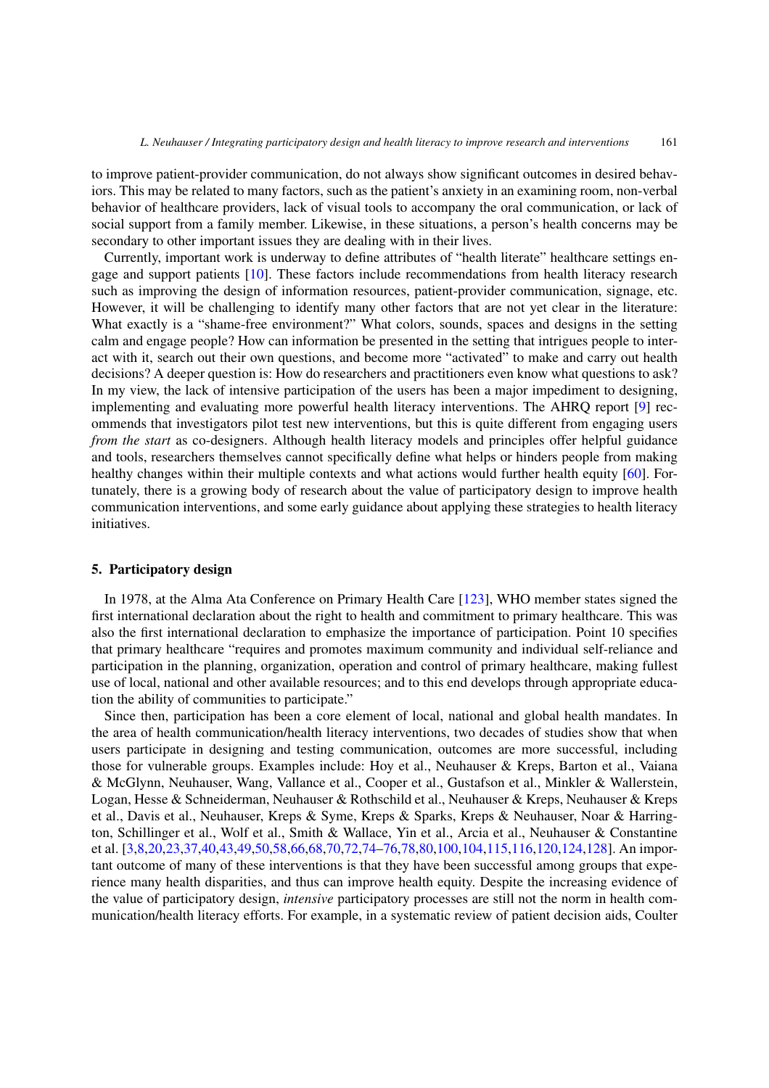to improve patient-provider communication, do not always show significant outcomes in desired behaviors. This may be related to many factors, such as the patient's anxiety in an examining room, non-verbal behavior of healthcare providers, lack of visual tools to accompany the oral communication, or lack of social support from a family member. Likewise, in these situations, a person's health concerns may be secondary to other important issues they are dealing with in their lives.

Currently, important work is underway to define attributes of "health literate" healthcare settings en-gage and support patients [\[10](#page-18-5)]. These factors include recommendations from health literacy research such as improving the design of information resources, patient-provider communication, signage, etc. However, it will be challenging to identify many other factors that are not yet clear in the literature: What exactly is a "shame-free environment?" What colors, sounds, spaces and designs in the setting calm and engage people? How can information be presented in the setting that intrigues people to interact with it, search out their own questions, and become more "activated" to make and carry out health decisions? A deeper question is: How do researchers and practitioners even know what questions to ask? In my view, the lack of intensive participation of the users has been a major impediment to designing, implementing and evaluating more powerful health literacy interventions. The AHRQ report [\[9\]](#page-18-6) recommends that investigators pilot test new interventions, but this is quite different from engaging users *from the start* as co-designers. Although health literacy models and principles offer helpful guidance and tools, researchers themselves cannot specifically define what helps or hinders people from making healthy changes within their multiple contexts and what actions would further health equity [\[60](#page-20-15)]. Fortunately, there is a growing body of research about the value of participatory design to improve health communication interventions, and some early guidance about applying these strategies to health literacy initiatives.

#### **5. Participatory design**

In 1978, at the Alma Ata Conference on Primary Health Care [\[123\]](#page-23-13), WHO member states signed the first international declaration about the right to health and commitment to primary healthcare. This was also the first international declaration to emphasize the importance of participation. Point 10 specifies that primary healthcare "requires and promotes maximum community and individual self-reliance and participation in the planning, organization, operation and control of primary healthcare, making fullest use of local, national and other available resources; and to this end develops through appropriate education the ability of communities to participate."

Since then, participation has been a core element of local, national and global health mandates. In the area of health communication/health literacy interventions, two decades of studies show that when users participate in designing and testing communication, outcomes are more successful, including those for vulnerable groups. Examples include: Hoy et al., Neuhauser & Kreps, Barton et al., Vaiana & McGlynn, Neuhauser, Wang, Vallance et al., Cooper et al., Gustafson et al., Minkler & Wallerstein, Logan, Hesse & Schneiderman, Neuhauser & Rothschild et al., Neuhauser & Kreps, Neuhauser & Kreps et al., Davis et al., Neuhauser, Kreps & Syme, Kreps & Sparks, Kreps & Neuhauser, Noar & Harrington, Schillinger et al., Wolf et al., Smith & Wallace, Yin et al., Arcia et al., Neuhauser & Constantine et al. [\[3](#page-18-8)[,8](#page-18-11)[,20](#page-19-16)[,23](#page-19-12)[,37](#page-19-17)[,40](#page-19-8)[,43](#page-20-17)[,49](#page-20-8)[,50](#page-20-6)[,58](#page-20-11)[,66](#page-21-16)[,68](#page-21-17)[,70](#page-21-13)[,72](#page-21-3)[,74](#page-21-18)[–76](#page-21-19)[,78](#page-21-12)[,80](#page-21-20)[,100](#page-22-10)[,104](#page-22-15)[,115](#page-23-14)[,116](#page-23-15)[,120](#page-23-3)[,124](#page-23-9)[,128](#page-23-11)]. An important outcome of many of these interventions is that they have been successful among groups that experience many health disparities, and thus can improve health equity. Despite the increasing evidence of the value of participatory design, *intensive* participatory processes are still not the norm in health communication/health literacy efforts. For example, in a systematic review of patient decision aids, Coulter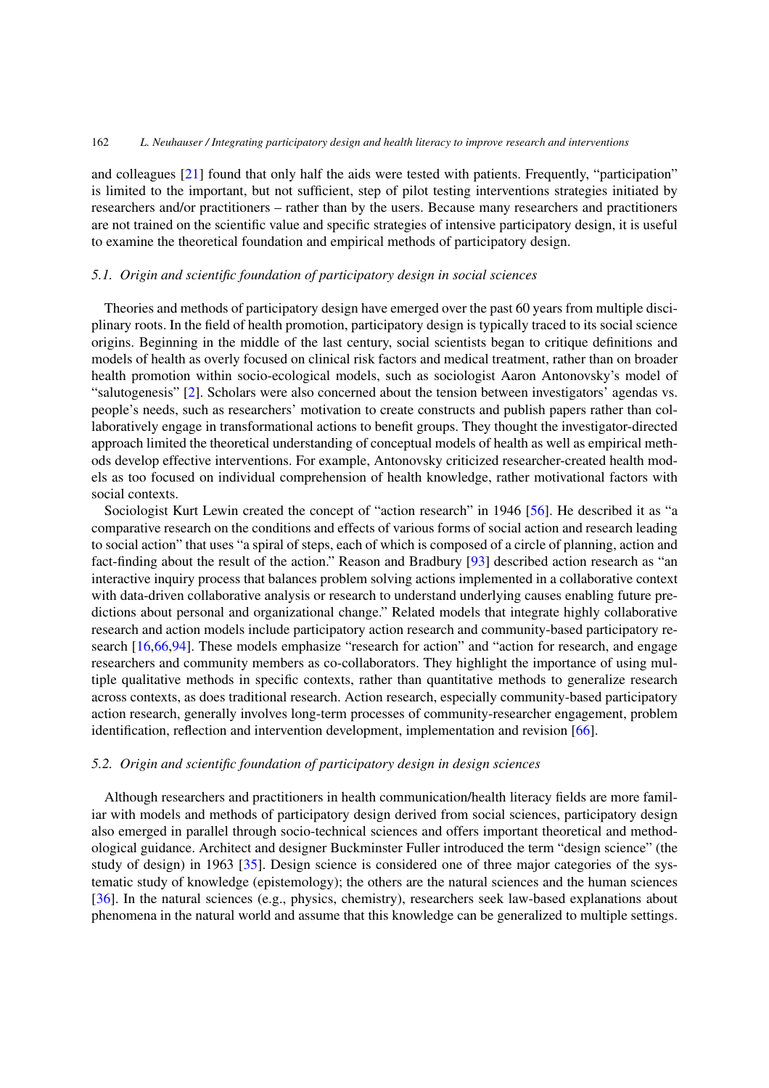and colleagues [\[21](#page-19-18)] found that only half the aids were tested with patients. Frequently, "participation" is limited to the important, but not sufficient, step of pilot testing interventions strategies initiated by researchers and/or practitioners – rather than by the users. Because many researchers and practitioners are not trained on the scientific value and specific strategies of intensive participatory design, it is useful to examine the theoretical foundation and empirical methods of participatory design.

# *5.1. Origin and scientific foundation of participatory design in social sciences*

Theories and methods of participatory design have emerged over the past 60 years from multiple disciplinary roots. In the field of health promotion, participatory design is typically traced to its social science origins. Beginning in the middle of the last century, social scientists began to critique definitions and models of health as overly focused on clinical risk factors and medical treatment, rather than on broader health promotion within socio-ecological models, such as sociologist Aaron Antonovsky's model of "salutogenesis" [\[2](#page-18-12)]. Scholars were also concerned about the tension between investigators' agendas vs. people's needs, such as researchers' motivation to create constructs and publish papers rather than collaboratively engage in transformational actions to benefit groups. They thought the investigator-directed approach limited the theoretical understanding of conceptual models of health as well as empirical methods develop effective interventions. For example, Antonovsky criticized researcher-created health models as too focused on individual comprehension of health knowledge, rather motivational factors with social contexts.

Sociologist Kurt Lewin created the concept of "action research" in 1946 [\[56](#page-20-18)]. He described it as "a comparative research on the conditions and effects of various forms of social action and research leading to social action" that uses "a spiral of steps, each of which is composed of a circle of planning, action and fact-finding about the result of the action." Reason and Bradbury [\[93](#page-22-19)] described action research as "an interactive inquiry process that balances problem solving actions implemented in a collaborative context with data-driven collaborative analysis or research to understand underlying causes enabling future predictions about personal and organizational change." Related models that integrate highly collaborative research and action models include participatory action research and community-based participatory re-search [\[16](#page-19-19)[,66](#page-21-16)[,94](#page-22-20)]. These models emphasize "research for action" and "action for research, and engage researchers and community members as co-collaborators. They highlight the importance of using multiple qualitative methods in specific contexts, rather than quantitative methods to generalize research across contexts, as does traditional research. Action research, especially community-based participatory action research, generally involves long-term processes of community-researcher engagement, problem identification, reflection and intervention development, implementation and revision [\[66\]](#page-21-16).

#### *5.2. Origin and scientific foundation of participatory design in design sciences*

Although researchers and practitioners in health communication/health literacy fields are more familiar with models and methods of participatory design derived from social sciences, participatory design also emerged in parallel through socio-technical sciences and offers important theoretical and methodological guidance. Architect and designer Buckminster Fuller introduced the term "design science" (the study of design) in 1963 [\[35](#page-19-20)]. Design science is considered one of three major categories of the systematic study of knowledge (epistemology); the others are the natural sciences and the human sciences [\[36](#page-19-21)]. In the natural sciences (e.g., physics, chemistry), researchers seek law-based explanations about phenomena in the natural world and assume that this knowledge can be generalized to multiple settings.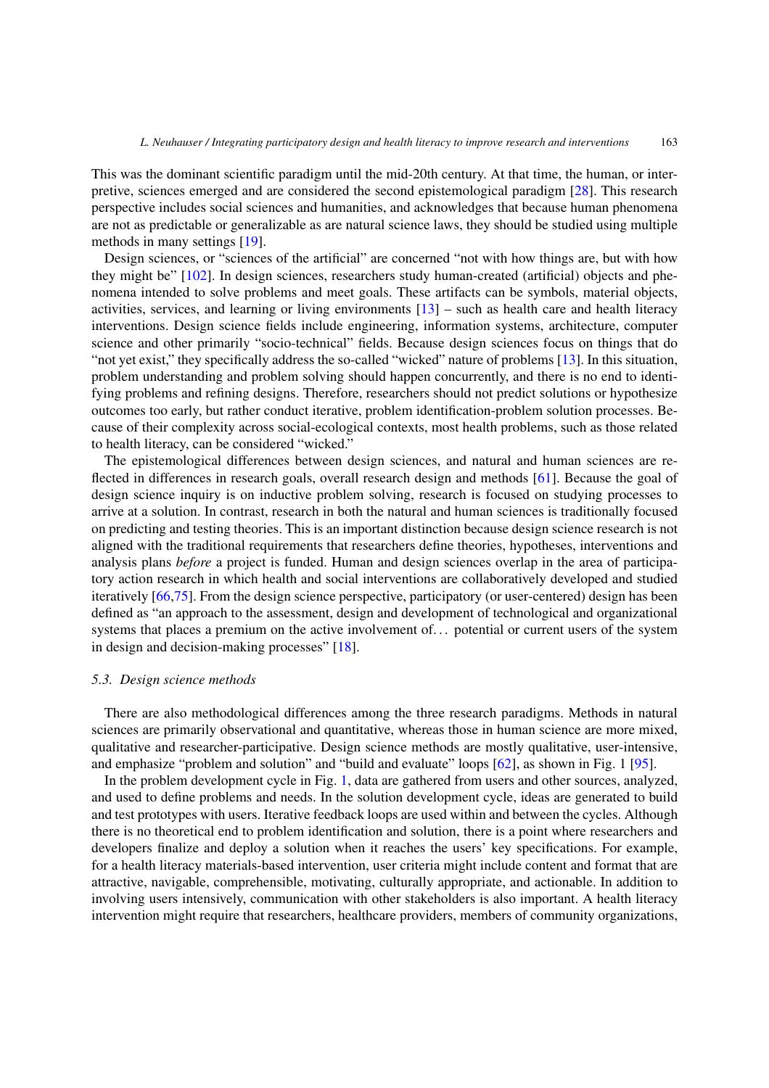This was the dominant scientific paradigm until the mid-20th century. At that time, the human, or interpretive, sciences emerged and are considered the second epistemological paradigm [\[28\]](#page-19-22). This research perspective includes social sciences and humanities, and acknowledges that because human phenomena are not as predictable or generalizable as are natural science laws, they should be studied using multiple methods in many settings [\[19\]](#page-19-23).

Design sciences, or "sciences of the artificial" are concerned "not with how things are, but with how they might be" [\[102](#page-22-21)]. In design sciences, researchers study human-created (artificial) objects and phenomena intended to solve problems and meet goals. These artifacts can be symbols, material objects, activities, services, and learning or living environments [\[13](#page-18-13)] – such as health care and health literacy interventions. Design science fields include engineering, information systems, architecture, computer science and other primarily "socio-technical" fields. Because design sciences focus on things that do "not yet exist," they specifically address the so-called "wicked" nature of problems [\[13\]](#page-18-13). In this situation, problem understanding and problem solving should happen concurrently, and there is no end to identifying problems and refining designs. Therefore, researchers should not predict solutions or hypothesize outcomes too early, but rather conduct iterative, problem identification-problem solution processes. Because of their complexity across social-ecological contexts, most health problems, such as those related to health literacy, can be considered "wicked."

The epistemological differences between design sciences, and natural and human sciences are reflected in differences in research goals, overall research design and methods [\[61\]](#page-20-19). Because the goal of design science inquiry is on inductive problem solving, research is focused on studying processes to arrive at a solution. In contrast, research in both the natural and human sciences is traditionally focused on predicting and testing theories. This is an important distinction because design science research is not aligned with the traditional requirements that researchers define theories, hypotheses, interventions and analysis plans *before* a project is funded. Human and design sciences overlap in the area of participatory action research in which health and social interventions are collaboratively developed and studied iteratively [\[66](#page-21-16)[,75\]](#page-21-21). From the design science perspective, participatory (or user-centered) design has been defined as "an approach to the assessment, design and development of technological and organizational systems that places a premium on the active involvement of. . . potential or current users of the system in design and decision-making processes" [\[18](#page-19-24)].

#### *5.3. Design science methods*

There are also methodological differences among the three research paradigms. Methods in natural sciences are primarily observational and quantitative, whereas those in human science are more mixed, qualitative and researcher-participative. Design science methods are mostly qualitative, user-intensive, and emphasize "problem and solution" and "build and evaluate" loops [\[62\]](#page-20-20), as shown in Fig. 1 [\[95](#page-22-22)].

In the problem development cycle in Fig. [1,](#page-11-0) data are gathered from users and other sources, analyzed, and used to define problems and needs. In the solution development cycle, ideas are generated to build and test prototypes with users. Iterative feedback loops are used within and between the cycles. Although there is no theoretical end to problem identification and solution, there is a point where researchers and developers finalize and deploy a solution when it reaches the users' key specifications. For example, for a health literacy materials-based intervention, user criteria might include content and format that are attractive, navigable, comprehensible, motivating, culturally appropriate, and actionable. In addition to involving users intensively, communication with other stakeholders is also important. A health literacy intervention might require that researchers, healthcare providers, members of community organizations,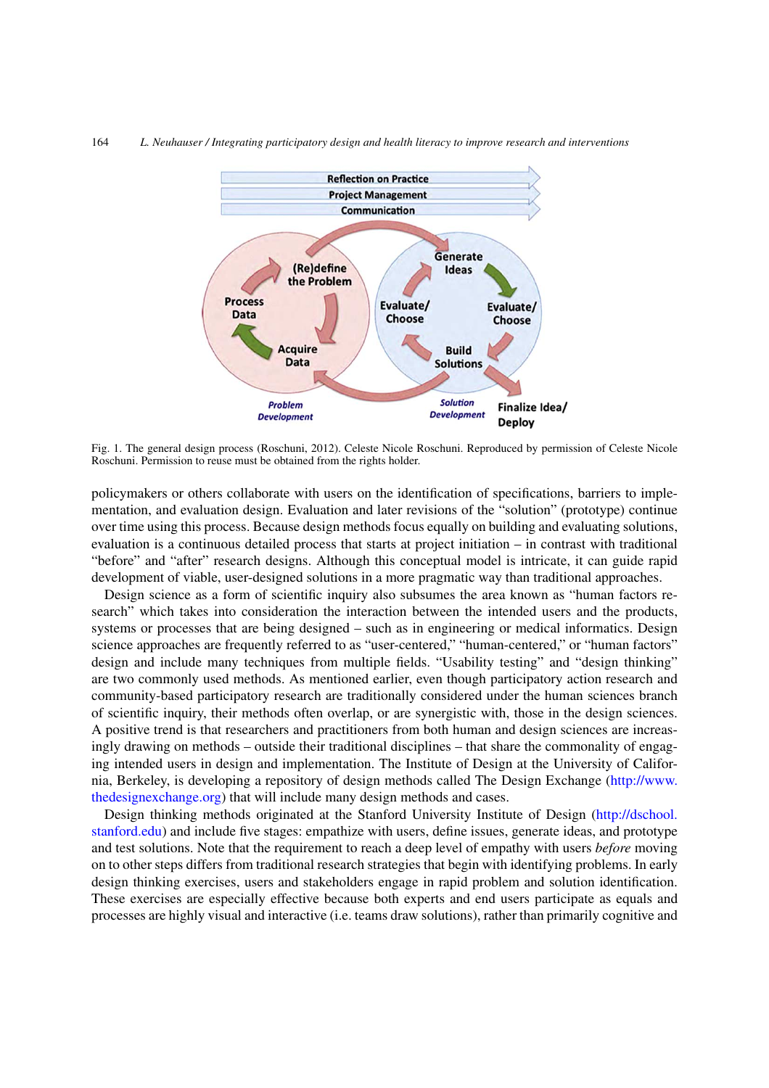



<span id="page-11-0"></span>Fig. 1. The general design process (Roschuni, 2012). Celeste Nicole Roschuni. Reproduced by permission of Celeste Nicole Roschuni. Permission to reuse must be obtained from the rights holder.

policymakers or others collaborate with users on the identification of specifications, barriers to implementation, and evaluation design. Evaluation and later revisions of the "solution" (prototype) continue over time using this process. Because design methods focus equally on building and evaluating solutions, evaluation is a continuous detailed process that starts at project initiation – in contrast with traditional "before" and "after" research designs. Although this conceptual model is intricate, it can guide rapid development of viable, user-designed solutions in a more pragmatic way than traditional approaches.

Design science as a form of scientific inquiry also subsumes the area known as "human factors research" which takes into consideration the interaction between the intended users and the products, systems or processes that are being designed – such as in engineering or medical informatics. Design science approaches are frequently referred to as "user-centered," "human-centered," or "human factors" design and include many techniques from multiple fields. "Usability testing" and "design thinking" are two commonly used methods. As mentioned earlier, even though participatory action research and community-based participatory research are traditionally considered under the human sciences branch of scientific inquiry, their methods often overlap, or are synergistic with, those in the design sciences. A positive trend is that researchers and practitioners from both human and design sciences are increasingly drawing on methods – outside their traditional disciplines – that share the commonality of engaging intended users in design and implementation. The Institute of Design at the University of California, Berkeley, is developing a repository of design methods called The Design Exchange [\(http://www.](http://www.thedesignexchange.org) [thedesignexchange.org\)](http://www.thedesignexchange.org) that will include many design methods and cases.

Design thinking methods originated at the Stanford University Institute of Design [\(http://dschool.](http://dschool.stanford.edu) [stanford.edu\)](http://dschool.stanford.edu) and include five stages: empathize with users, define issues, generate ideas, and prototype and test solutions. Note that the requirement to reach a deep level of empathy with users *before* moving on to other steps differs from traditional research strategies that begin with identifying problems. In early design thinking exercises, users and stakeholders engage in rapid problem and solution identification. These exercises are especially effective because both experts and end users participate as equals and processes are highly visual and interactive (i.e. teams draw solutions), rather than primarily cognitive and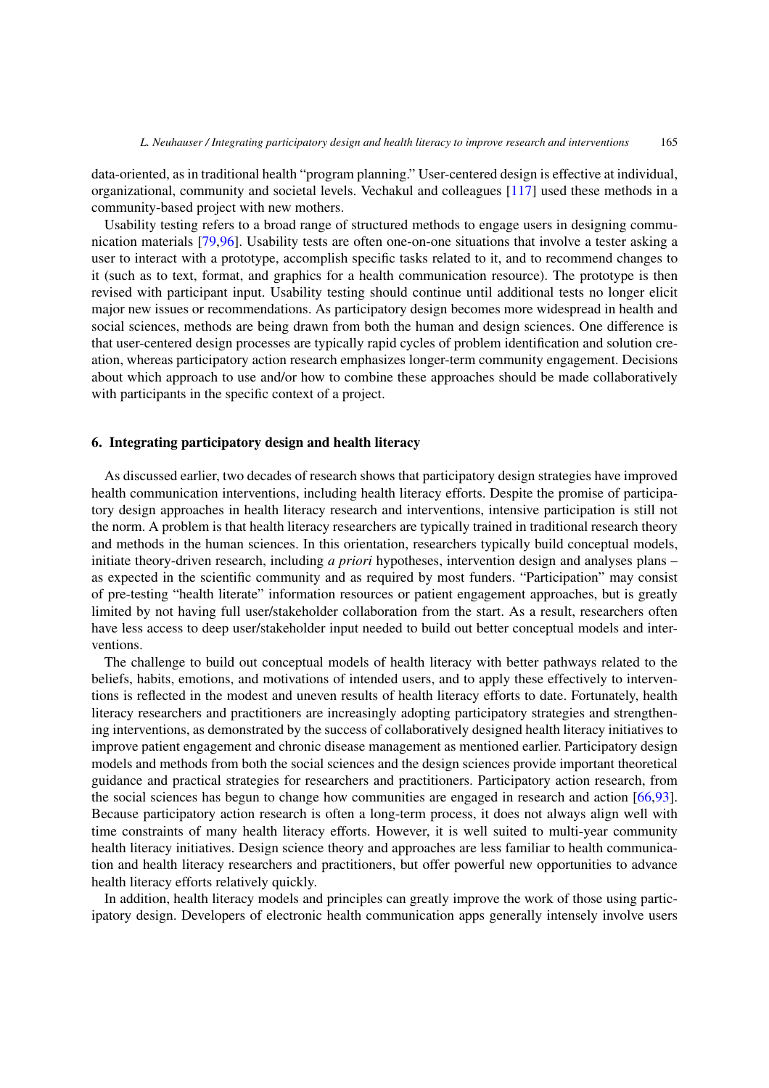data-oriented, as in traditional health "program planning." User-centered design is effective at individual, organizational, community and societal levels. Vechakul and colleagues [\[117\]](#page-23-16) used these methods in a community-based project with new mothers.

Usability testing refers to a broad range of structured methods to engage users in designing communication materials [\[79](#page-21-22)[,96](#page-22-23)]. Usability tests are often one-on-one situations that involve a tester asking a user to interact with a prototype, accomplish specific tasks related to it, and to recommend changes to it (such as to text, format, and graphics for a health communication resource). The prototype is then revised with participant input. Usability testing should continue until additional tests no longer elicit major new issues or recommendations. As participatory design becomes more widespread in health and social sciences, methods are being drawn from both the human and design sciences. One difference is that user-centered design processes are typically rapid cycles of problem identification and solution creation, whereas participatory action research emphasizes longer-term community engagement. Decisions about which approach to use and/or how to combine these approaches should be made collaboratively with participants in the specific context of a project.

# **6. Integrating participatory design and health literacy**

As discussed earlier, two decades of research shows that participatory design strategies have improved health communication interventions, including health literacy efforts. Despite the promise of participatory design approaches in health literacy research and interventions, intensive participation is still not the norm. A problem is that health literacy researchers are typically trained in traditional research theory and methods in the human sciences. In this orientation, researchers typically build conceptual models, initiate theory-driven research, including *a priori* hypotheses, intervention design and analyses plans – as expected in the scientific community and as required by most funders. "Participation" may consist of pre-testing "health literate" information resources or patient engagement approaches, but is greatly limited by not having full user/stakeholder collaboration from the start. As a result, researchers often have less access to deep user/stakeholder input needed to build out better conceptual models and interventions.

The challenge to build out conceptual models of health literacy with better pathways related to the beliefs, habits, emotions, and motivations of intended users, and to apply these effectively to interventions is reflected in the modest and uneven results of health literacy efforts to date. Fortunately, health literacy researchers and practitioners are increasingly adopting participatory strategies and strengthening interventions, as demonstrated by the success of collaboratively designed health literacy initiatives to improve patient engagement and chronic disease management as mentioned earlier. Participatory design models and methods from both the social sciences and the design sciences provide important theoretical guidance and practical strategies for researchers and practitioners. Participatory action research, from the social sciences has begun to change how communities are engaged in research and action [\[66](#page-21-16)[,93](#page-22-19)]. Because participatory action research is often a long-term process, it does not always align well with time constraints of many health literacy efforts. However, it is well suited to multi-year community health literacy initiatives. Design science theory and approaches are less familiar to health communication and health literacy researchers and practitioners, but offer powerful new opportunities to advance health literacy efforts relatively quickly.

In addition, health literacy models and principles can greatly improve the work of those using participatory design. Developers of electronic health communication apps generally intensely involve users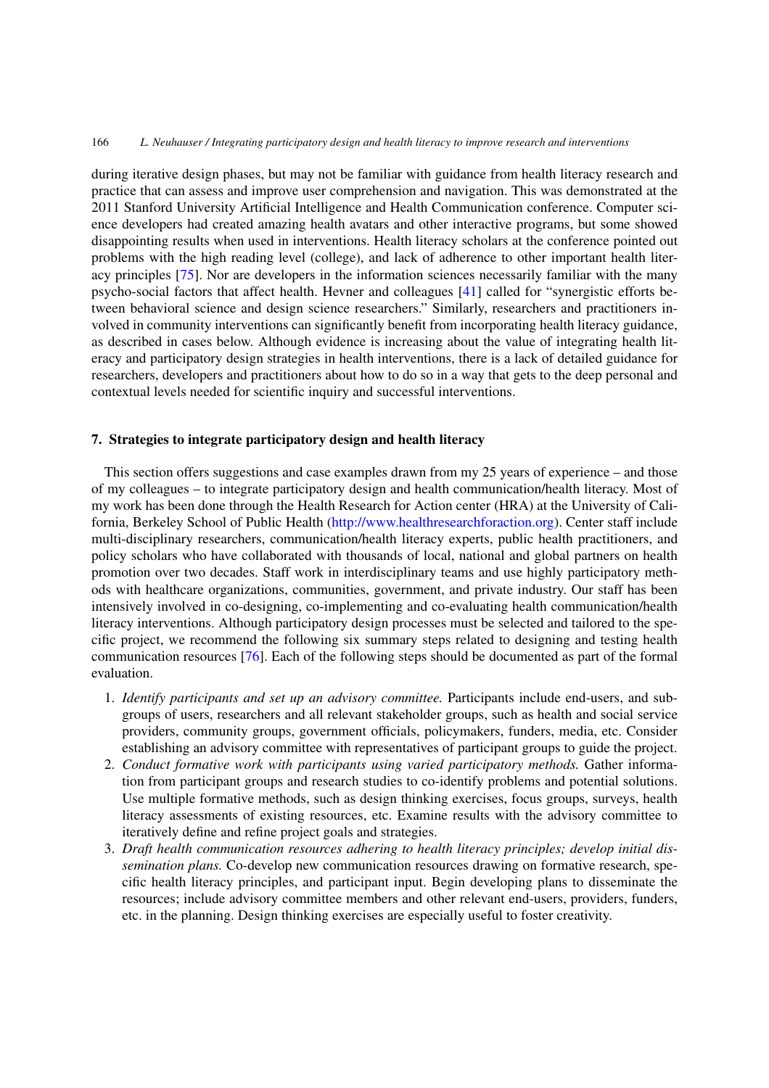during iterative design phases, but may not be familiar with guidance from health literacy research and practice that can assess and improve user comprehension and navigation. This was demonstrated at the 2011 Stanford University Artificial Intelligence and Health Communication conference. Computer science developers had created amazing health avatars and other interactive programs, but some showed disappointing results when used in interventions. Health literacy scholars at the conference pointed out problems with the high reading level (college), and lack of adherence to other important health literacy principles [\[75](#page-21-21)]. Nor are developers in the information sciences necessarily familiar with the many psycho-social factors that affect health. Hevner and colleagues [\[41](#page-19-25)] called for "synergistic efforts between behavioral science and design science researchers." Similarly, researchers and practitioners involved in community interventions can significantly benefit from incorporating health literacy guidance, as described in cases below. Although evidence is increasing about the value of integrating health literacy and participatory design strategies in health interventions, there is a lack of detailed guidance for researchers, developers and practitioners about how to do so in a way that gets to the deep personal and contextual levels needed for scientific inquiry and successful interventions.

# **7. Strategies to integrate participatory design and health literacy**

This section offers suggestions and case examples drawn from my 25 years of experience – and those of my colleagues – to integrate participatory design and health communication/health literacy. Most of my work has been done through the Health Research for Action center (HRA) at the University of California, Berkeley School of Public Health [\(http://www.healthresearchforaction.org\)](http://www.healthresearchforaction.org). Center staff include multi-disciplinary researchers, communication/health literacy experts, public health practitioners, and policy scholars who have collaborated with thousands of local, national and global partners on health promotion over two decades. Staff work in interdisciplinary teams and use highly participatory methods with healthcare organizations, communities, government, and private industry. Our staff has been intensively involved in co-designing, co-implementing and co-evaluating health communication/health literacy interventions. Although participatory design processes must be selected and tailored to the specific project, we recommend the following six summary steps related to designing and testing health communication resources [\[76\]](#page-21-19). Each of the following steps should be documented as part of the formal evaluation.

- 1. *Identify participants and set up an advisory committee.* Participants include end-users, and subgroups of users, researchers and all relevant stakeholder groups, such as health and social service providers, community groups, government officials, policymakers, funders, media, etc. Consider establishing an advisory committee with representatives of participant groups to guide the project.
- 2. *Conduct formative work with participants using varied participatory methods.* Gather information from participant groups and research studies to co-identify problems and potential solutions. Use multiple formative methods, such as design thinking exercises, focus groups, surveys, health literacy assessments of existing resources, etc. Examine results with the advisory committee to iteratively define and refine project goals and strategies.
- 3. *Draft health communication resources adhering to health literacy principles; develop initial dissemination plans.* Co-develop new communication resources drawing on formative research, specific health literacy principles, and participant input. Begin developing plans to disseminate the resources; include advisory committee members and other relevant end-users, providers, funders, etc. in the planning. Design thinking exercises are especially useful to foster creativity.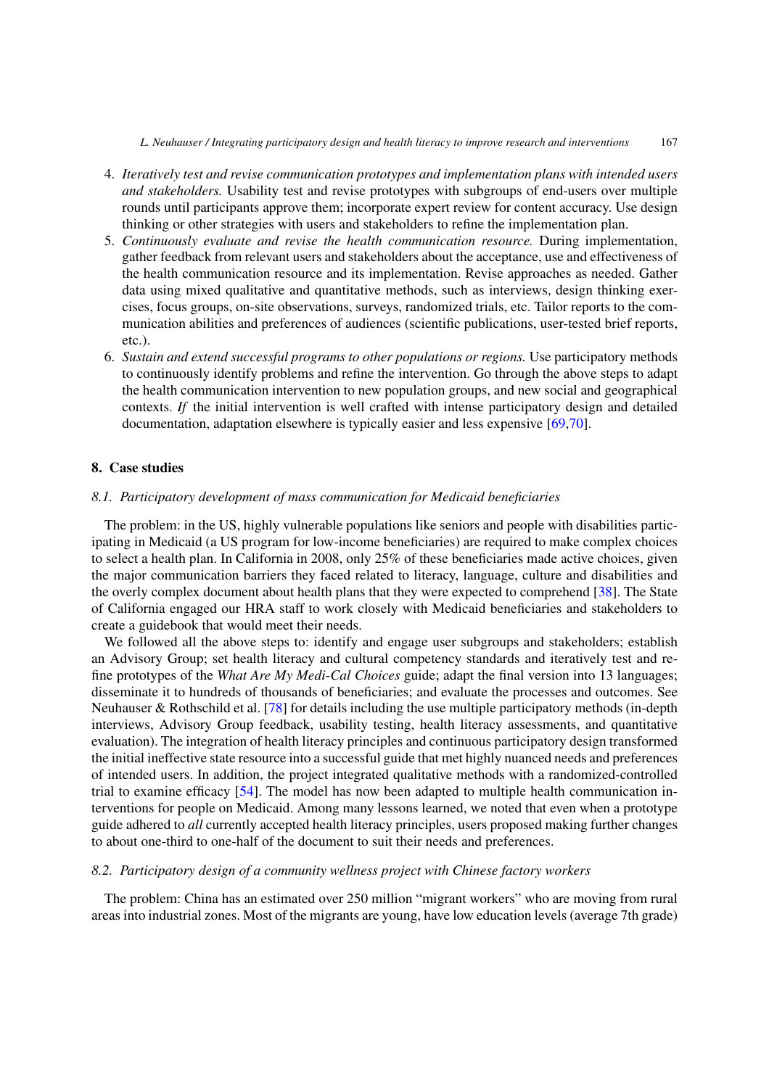- 4. *Iteratively test and revise communication prototypes and implementation plans with intended users and stakeholders.* Usability test and revise prototypes with subgroups of end-users over multiple rounds until participants approve them; incorporate expert review for content accuracy. Use design thinking or other strategies with users and stakeholders to refine the implementation plan.
- 5. *Continuously evaluate and revise the health communication resource.* During implementation, gather feedback from relevant users and stakeholders about the acceptance, use and effectiveness of the health communication resource and its implementation. Revise approaches as needed. Gather data using mixed qualitative and quantitative methods, such as interviews, design thinking exercises, focus groups, on-site observations, surveys, randomized trials, etc. Tailor reports to the communication abilities and preferences of audiences (scientific publications, user-tested brief reports, etc.).
- 6. *Sustain and extend successful programs to other populations or regions.* Use participatory methods to continuously identify problems and refine the intervention. Go through the above steps to adapt the health communication intervention to new population groups, and new social and geographical contexts. *If* the initial intervention is well crafted with intense participatory design and detailed documentation, adaptation elsewhere is typically easier and less expensive [\[69](#page-21-23)[,70](#page-21-13)].

## **8. Case studies**

#### *8.1. Participatory development of mass communication for Medicaid beneficiaries*

The problem: in the US, highly vulnerable populations like seniors and people with disabilities participating in Medicaid (a US program for low-income beneficiaries) are required to make complex choices to select a health plan. In California in 2008, only 25% of these beneficiaries made active choices, given the major communication barriers they faced related to literacy, language, culture and disabilities and the overly complex document about health plans that they were expected to comprehend [\[38\]](#page-19-26). The State of California engaged our HRA staff to work closely with Medicaid beneficiaries and stakeholders to create a guidebook that would meet their needs.

We followed all the above steps to: identify and engage user subgroups and stakeholders; establish an Advisory Group; set health literacy and cultural competency standards and iteratively test and refine prototypes of the *What Are My Medi-Cal Choices* guide; adapt the final version into 13 languages; disseminate it to hundreds of thousands of beneficiaries; and evaluate the processes and outcomes. See Neuhauser & Rothschild et al. [\[78\]](#page-21-12) for details including the use multiple participatory methods (in-depth interviews, Advisory Group feedback, usability testing, health literacy assessments, and quantitative evaluation). The integration of health literacy principles and continuous participatory design transformed the initial ineffective state resource into a successful guide that met highly nuanced needs and preferences of intended users. In addition, the project integrated qualitative methods with a randomized-controlled trial to examine efficacy [\[54](#page-20-21)]. The model has now been adapted to multiple health communication interventions for people on Medicaid. Among many lessons learned, we noted that even when a prototype guide adhered to *all* currently accepted health literacy principles, users proposed making further changes to about one-third to one-half of the document to suit their needs and preferences.

## *8.2. Participatory design of a community wellness project with Chinese factory workers*

The problem: China has an estimated over 250 million "migrant workers" who are moving from rural areas into industrial zones. Most of the migrants are young, have low education levels (average 7th grade)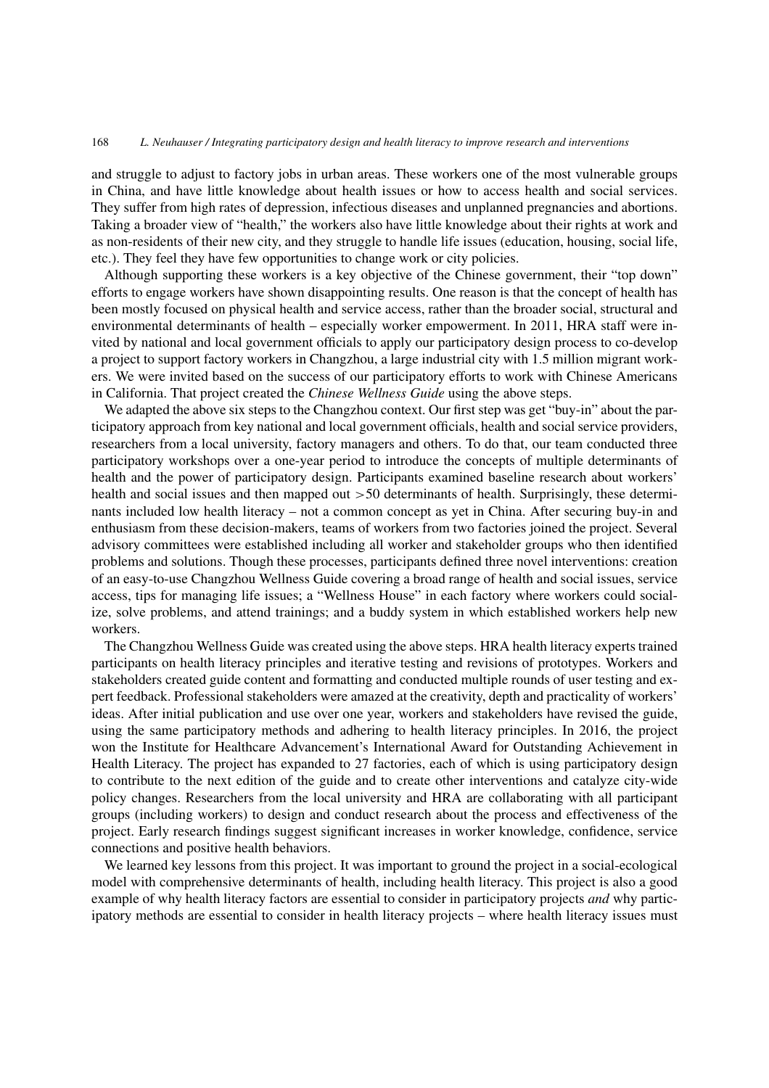and struggle to adjust to factory jobs in urban areas. These workers one of the most vulnerable groups in China, and have little knowledge about health issues or how to access health and social services. They suffer from high rates of depression, infectious diseases and unplanned pregnancies and abortions. Taking a broader view of "health," the workers also have little knowledge about their rights at work and as non-residents of their new city, and they struggle to handle life issues (education, housing, social life, etc.). They feel they have few opportunities to change work or city policies.

Although supporting these workers is a key objective of the Chinese government, their "top down" efforts to engage workers have shown disappointing results. One reason is that the concept of health has been mostly focused on physical health and service access, rather than the broader social, structural and environmental determinants of health – especially worker empowerment. In 2011, HRA staff were invited by national and local government officials to apply our participatory design process to co-develop a project to support factory workers in Changzhou, a large industrial city with 1.5 million migrant workers. We were invited based on the success of our participatory efforts to work with Chinese Americans in California. That project created the *Chinese Wellness Guide* using the above steps.

We adapted the above six steps to the Changzhou context. Our first step was get "buy-in" about the participatory approach from key national and local government officials, health and social service providers, researchers from a local university, factory managers and others. To do that, our team conducted three participatory workshops over a one-year period to introduce the concepts of multiple determinants of health and the power of participatory design. Participants examined baseline research about workers' health and social issues and then mapped out *>*50 determinants of health. Surprisingly, these determinants included low health literacy – not a common concept as yet in China. After securing buy-in and enthusiasm from these decision-makers, teams of workers from two factories joined the project. Several advisory committees were established including all worker and stakeholder groups who then identified problems and solutions. Though these processes, participants defined three novel interventions: creation of an easy-to-use Changzhou Wellness Guide covering a broad range of health and social issues, service access, tips for managing life issues; a "Wellness House" in each factory where workers could socialize, solve problems, and attend trainings; and a buddy system in which established workers help new workers.

The Changzhou Wellness Guide was created using the above steps. HRA health literacy experts trained participants on health literacy principles and iterative testing and revisions of prototypes. Workers and stakeholders created guide content and formatting and conducted multiple rounds of user testing and expert feedback. Professional stakeholders were amazed at the creativity, depth and practicality of workers' ideas. After initial publication and use over one year, workers and stakeholders have revised the guide, using the same participatory methods and adhering to health literacy principles. In 2016, the project won the Institute for Healthcare Advancement's International Award for Outstanding Achievement in Health Literacy. The project has expanded to 27 factories, each of which is using participatory design to contribute to the next edition of the guide and to create other interventions and catalyze city-wide policy changes. Researchers from the local university and HRA are collaborating with all participant groups (including workers) to design and conduct research about the process and effectiveness of the project. Early research findings suggest significant increases in worker knowledge, confidence, service connections and positive health behaviors.

We learned key lessons from this project. It was important to ground the project in a social-ecological model with comprehensive determinants of health, including health literacy. This project is also a good example of why health literacy factors are essential to consider in participatory projects *and* why participatory methods are essential to consider in health literacy projects – where health literacy issues must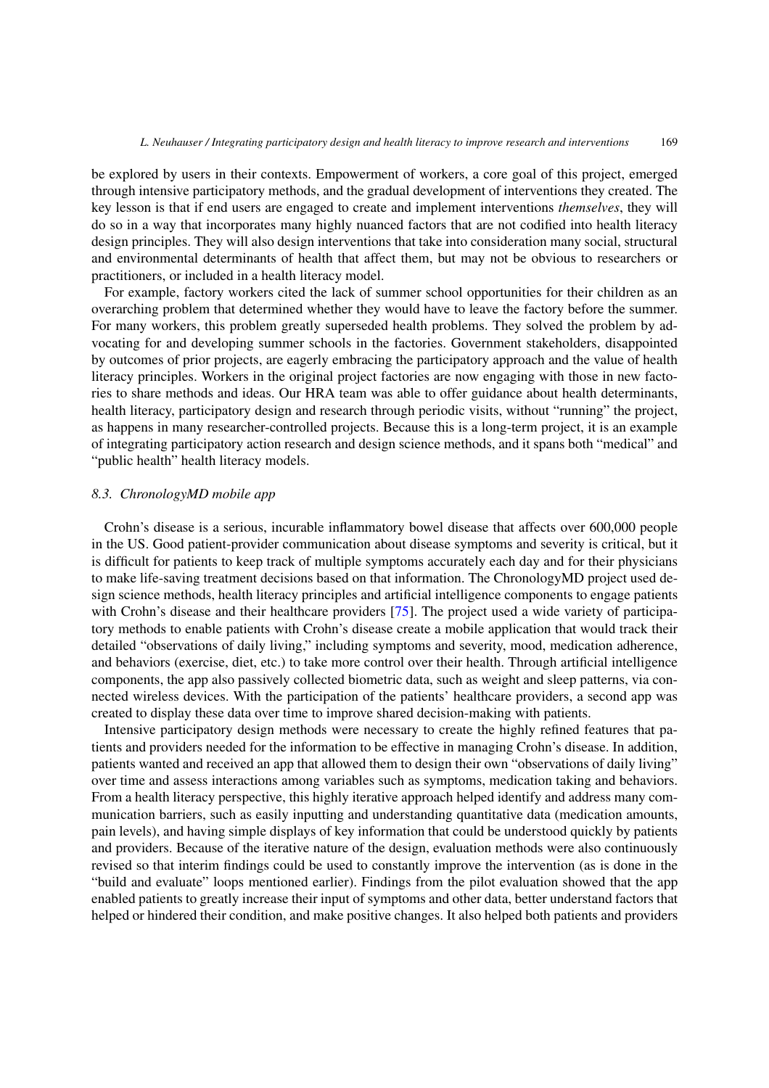be explored by users in their contexts. Empowerment of workers, a core goal of this project, emerged through intensive participatory methods, and the gradual development of interventions they created. The key lesson is that if end users are engaged to create and implement interventions *themselves*, they will do so in a way that incorporates many highly nuanced factors that are not codified into health literacy design principles. They will also design interventions that take into consideration many social, structural and environmental determinants of health that affect them, but may not be obvious to researchers or practitioners, or included in a health literacy model.

For example, factory workers cited the lack of summer school opportunities for their children as an overarching problem that determined whether they would have to leave the factory before the summer. For many workers, this problem greatly superseded health problems. They solved the problem by advocating for and developing summer schools in the factories. Government stakeholders, disappointed by outcomes of prior projects, are eagerly embracing the participatory approach and the value of health literacy principles. Workers in the original project factories are now engaging with those in new factories to share methods and ideas. Our HRA team was able to offer guidance about health determinants, health literacy, participatory design and research through periodic visits, without "running" the project, as happens in many researcher-controlled projects. Because this is a long-term project, it is an example of integrating participatory action research and design science methods, and it spans both "medical" and "public health" health literacy models.

## *8.3. ChronologyMD mobile app*

Crohn's disease is a serious, incurable inflammatory bowel disease that affects over 600,000 people in the US. Good patient-provider communication about disease symptoms and severity is critical, but it is difficult for patients to keep track of multiple symptoms accurately each day and for their physicians to make life-saving treatment decisions based on that information. The ChronologyMD project used design science methods, health literacy principles and artificial intelligence components to engage patients with Crohn's disease and their healthcare providers [\[75\]](#page-21-21). The project used a wide variety of participatory methods to enable patients with Crohn's disease create a mobile application that would track their detailed "observations of daily living," including symptoms and severity, mood, medication adherence, and behaviors (exercise, diet, etc.) to take more control over their health. Through artificial intelligence components, the app also passively collected biometric data, such as weight and sleep patterns, via connected wireless devices. With the participation of the patients' healthcare providers, a second app was created to display these data over time to improve shared decision-making with patients.

Intensive participatory design methods were necessary to create the highly refined features that patients and providers needed for the information to be effective in managing Crohn's disease. In addition, patients wanted and received an app that allowed them to design their own "observations of daily living" over time and assess interactions among variables such as symptoms, medication taking and behaviors. From a health literacy perspective, this highly iterative approach helped identify and address many communication barriers, such as easily inputting and understanding quantitative data (medication amounts, pain levels), and having simple displays of key information that could be understood quickly by patients and providers. Because of the iterative nature of the design, evaluation methods were also continuously revised so that interim findings could be used to constantly improve the intervention (as is done in the "build and evaluate" loops mentioned earlier). Findings from the pilot evaluation showed that the app enabled patients to greatly increase their input of symptoms and other data, better understand factors that helped or hindered their condition, and make positive changes. It also helped both patients and providers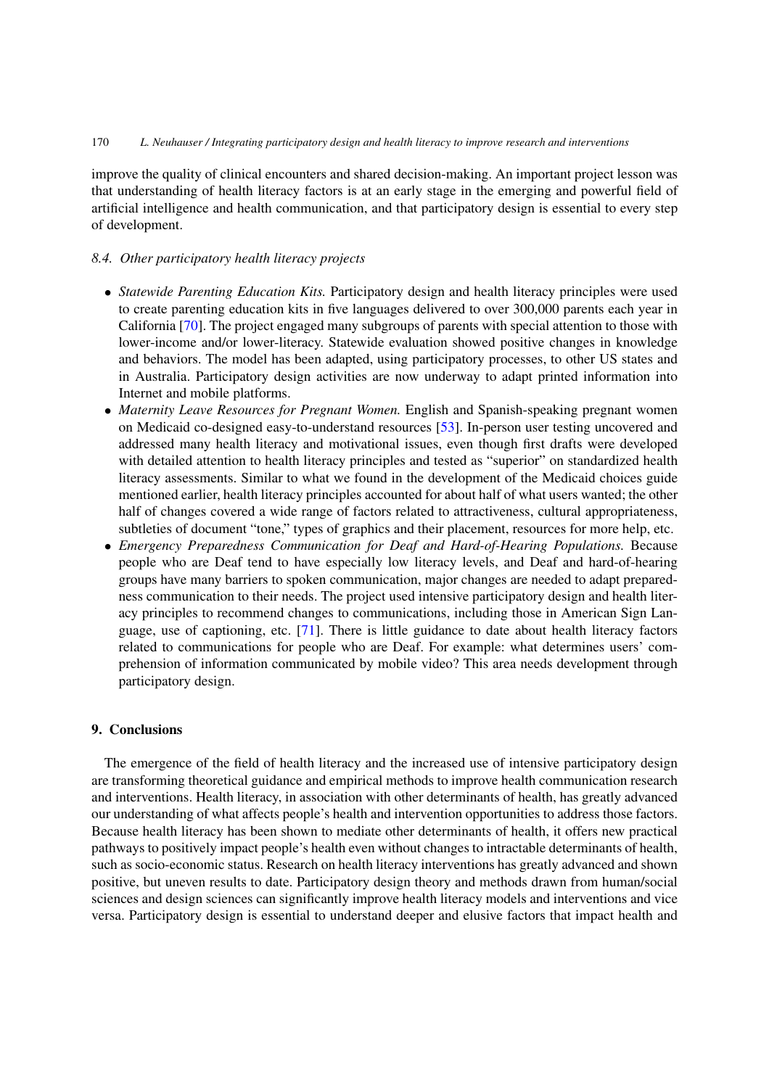improve the quality of clinical encounters and shared decision-making. An important project lesson was that understanding of health literacy factors is at an early stage in the emerging and powerful field of artificial intelligence and health communication, and that participatory design is essential to every step of development.

# *8.4. Other participatory health literacy projects*

- *Statewide Parenting Education Kits.* Participatory design and health literacy principles were used to create parenting education kits in five languages delivered to over 300,000 parents each year in California [\[70](#page-21-13)]. The project engaged many subgroups of parents with special attention to those with lower-income and/or lower-literacy. Statewide evaluation showed positive changes in knowledge and behaviors. The model has been adapted, using participatory processes, to other US states and in Australia. Participatory design activities are now underway to adapt printed information into Internet and mobile platforms.
- *Maternity Leave Resources for Pregnant Women*. English and Spanish-speaking pregnant women on Medicaid co-designed easy-to-understand resources [\[53\]](#page-20-22). In-person user testing uncovered and addressed many health literacy and motivational issues, even though first drafts were developed with detailed attention to health literacy principles and tested as "superior" on standardized health literacy assessments. Similar to what we found in the development of the Medicaid choices guide mentioned earlier, health literacy principles accounted for about half of what users wanted; the other half of changes covered a wide range of factors related to attractiveness, cultural appropriateness, subtleties of document "tone," types of graphics and their placement, resources for more help, etc.
- *Emergency Preparedness Communication for Deaf and Hard-of-Hearing Populations.* Because people who are Deaf tend to have especially low literacy levels, and Deaf and hard-of-hearing groups have many barriers to spoken communication, major changes are needed to adapt preparedness communication to their needs. The project used intensive participatory design and health literacy principles to recommend changes to communications, including those in American Sign Language, use of captioning, etc. [\[71](#page-21-5)]. There is little guidance to date about health literacy factors related to communications for people who are Deaf. For example: what determines users' comprehension of information communicated by mobile video? This area needs development through participatory design.

# **9. Conclusions**

The emergence of the field of health literacy and the increased use of intensive participatory design are transforming theoretical guidance and empirical methods to improve health communication research and interventions. Health literacy, in association with other determinants of health, has greatly advanced our understanding of what affects people's health and intervention opportunities to address those factors. Because health literacy has been shown to mediate other determinants of health, it offers new practical pathways to positively impact people's health even without changes to intractable determinants of health, such as socio-economic status. Research on health literacy interventions has greatly advanced and shown positive, but uneven results to date. Participatory design theory and methods drawn from human/social sciences and design sciences can significantly improve health literacy models and interventions and vice versa. Participatory design is essential to understand deeper and elusive factors that impact health and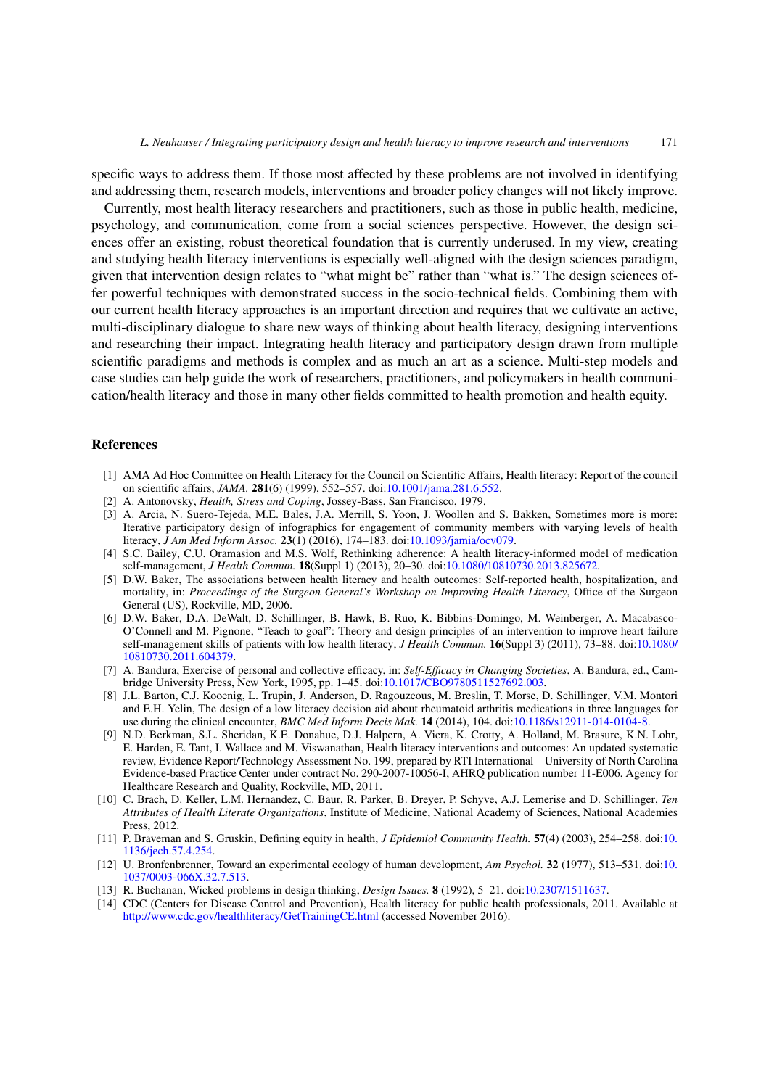specific ways to address them. If those most affected by these problems are not involved in identifying and addressing them, research models, interventions and broader policy changes will not likely improve.

Currently, most health literacy researchers and practitioners, such as those in public health, medicine, psychology, and communication, come from a social sciences perspective. However, the design sciences offer an existing, robust theoretical foundation that is currently underused. In my view, creating and studying health literacy interventions is especially well-aligned with the design sciences paradigm, given that intervention design relates to "what might be" rather than "what is." The design sciences offer powerful techniques with demonstrated success in the socio-technical fields. Combining them with our current health literacy approaches is an important direction and requires that we cultivate an active, multi-disciplinary dialogue to share new ways of thinking about health literacy, designing interventions and researching their impact. Integrating health literacy and participatory design drawn from multiple scientific paradigms and methods is complex and as much an art as a science. Multi-step models and case studies can help guide the work of researchers, practitioners, and policymakers in health communication/health literacy and those in many other fields committed to health promotion and health equity.

# **References**

- <span id="page-18-4"></span>[1] AMA Ad Hoc Committee on Health Literacy for the Council on Scientific Affairs, Health literacy: Report of the council on scientific affairs, *JAMA.* **281**(6) (1999), 552–557. doi[:10.1001/jama.281.6.552.](http://dx.doi.org/10.1001/jama.281.6.552)
- <span id="page-18-12"></span>[2] A. Antonovsky, *Health, Stress and Coping*, Jossey-Bass, San Francisco, 1979.
- <span id="page-18-8"></span>[3] A. Arcia, N. Suero-Tejeda, M.E. Bales, J.A. Merrill, S. Yoon, J. Woollen and S. Bakken, Sometimes more is more: Iterative participatory design of infographics for engagement of community members with varying levels of health literacy, *J Am Med Inform Assoc.* **23**(1) (2016), 174–183. doi[:10.1093/jamia/ocv079.](http://dx.doi.org/10.1093/jamia/ocv079)
- <span id="page-18-9"></span>[4] S.C. Bailey, C.U. Oramasion and M.S. Wolf, Rethinking adherence: A health literacy-informed model of medication self-management, *J Health Commun.* **18**(Suppl 1) (2013), 20–30. doi[:10.1080/10810730.2013.825672.](http://dx.doi.org/10.1080/10810730.2013.825672)
- <span id="page-18-3"></span>[5] D.W. Baker, The associations between health literacy and health outcomes: Self-reported health, hospitalization, and mortality, in: *Proceedings of the Surgeon General's Workshop on Improving Health Literacy*, Office of the Surgeon General (US), Rockville, MD, 2006.
- <span id="page-18-10"></span>[6] D.W. Baker, D.A. DeWalt, D. Schillinger, B. Hawk, B. Ruo, K. Bibbins-Domingo, M. Weinberger, A. Macabasco-O'Connell and M. Pignone, "Teach to goal": Theory and design principles of an intervention to improve heart failure self-management skills of patients with low health literacy, *J Health Commun.* **16**(Suppl 3) (2011), 73–88. doi[:10.1080/](http://dx.doi.org/10.1080/10810730.2011.604379) [10810730.2011.604379.](http://dx.doi.org/10.1080/10810730.2011.604379)
- <span id="page-18-2"></span>[7] A. Bandura, Exercise of personal and collective efficacy, in: *Self-Efficacy in Changing Societies*, A. Bandura, ed., Cambridge University Press, New York, 1995, pp. 1–45. doi[:10.1017/CBO9780511527692.003.](http://dx.doi.org/10.1017/CBO9780511527692.003)
- <span id="page-18-11"></span>[8] J.L. Barton, C.J. Kooenig, L. Trupin, J. Anderson, D. Ragouzeous, M. Breslin, T. Morse, D. Schillinger, V.M. Montori and E.H. Yelin, The design of a low literacy decision aid about rheumatoid arthritis medications in three languages for use during the clinical encounter, *BMC Med Inform Decis Mak.* **14** (2014), 104. doi[:10.1186/s12911-014-0104-8.](http://dx.doi.org/10.1186/s12911-014-0104-8)
- <span id="page-18-6"></span>[9] N.D. Berkman, S.L. Sheridan, K.E. Donahue, D.J. Halpern, A. Viera, K. Crotty, A. Holland, M. Brasure, K.N. Lohr, E. Harden, E. Tant, I. Wallace and M. Viswanathan, Health literacy interventions and outcomes: An updated systematic review, Evidence Report/Technology Assessment No. 199, prepared by RTI International – University of North Carolina Evidence-based Practice Center under contract No. 290-2007-10056-I, AHRQ publication number 11-E006, Agency for Healthcare Research and Quality, Rockville, MD, 2011.
- <span id="page-18-5"></span>[10] C. Brach, D. Keller, L.M. Hernandez, C. Baur, R. Parker, B. Dreyer, P. Schyve, A.J. Lemerise and D. Schillinger, *Ten Attributes of Health Literate Organizations*, Institute of Medicine, National Academy of Sciences, National Academies Press, 2012.
- <span id="page-18-1"></span>[11] P. Braveman and S. Gruskin, Defining equity in health, *J Epidemiol Community Health.* **57**(4) (2003), 254–258. doi[:10.](http://dx.doi.org/10.1136/jech.57.4.254) [1136/jech.57.4.254.](http://dx.doi.org/10.1136/jech.57.4.254)
- <span id="page-18-0"></span>[12] U. Bronfenbrenner, Toward an experimental ecology of human development, *Am Psychol.* **32** (1977), 513–531. doi[:10.](http://dx.doi.org/10.1037/0003-066X.32.7.513) [1037/0003-066X.32.7.513.](http://dx.doi.org/10.1037/0003-066X.32.7.513)
- <span id="page-18-13"></span>[13] R. Buchanan, Wicked problems in design thinking, *Design Issues.* **8** (1992), 5–21. doi[:10.2307/1511637.](http://dx.doi.org/10.2307/1511637)
- <span id="page-18-7"></span>[14] CDC (Centers for Disease Control and Prevention), Health literacy for public health professionals, 2011. Available at <http://www.cdc.gov/healthliteracy/GetTrainingCE.html> (accessed November 2016).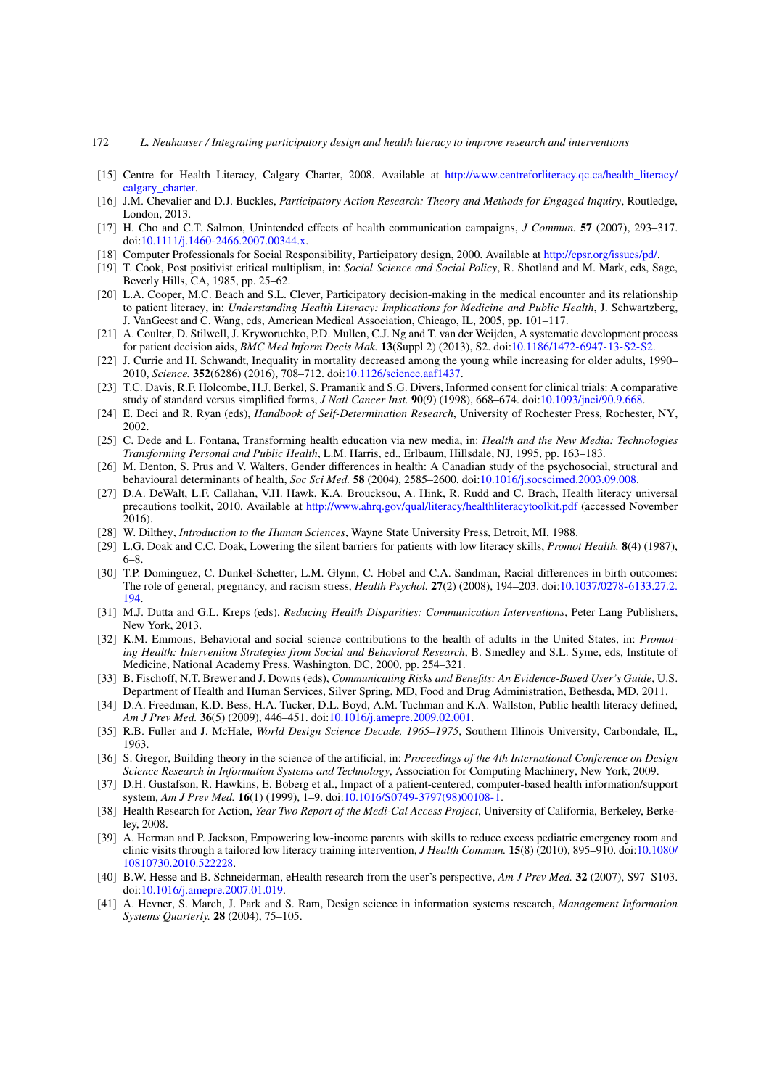- <span id="page-19-10"></span>[15] Centre for Health Literacy, Calgary Charter, 2008. Available at [http://www.centreforliteracy.qc.ca/health\\_literacy/](http://www.centreforliteracy.qc.ca/health_literacy/calgary_charter) [calgary\\_charter.](http://www.centreforliteracy.qc.ca/health_literacy/calgary_charter)
- <span id="page-19-19"></span>[16] J.M. Chevalier and D.J. Buckles, *Participatory Action Research: Theory and Methods for Engaged Inquiry*, Routledge, London, 2013.
- <span id="page-19-4"></span>[17] H. Cho and C.T. Salmon, Unintended effects of health communication campaigns, *J Commun.* **57** (2007), 293–317. doi[:10.1111/j.1460-2466.2007.00344.x.](http://dx.doi.org/10.1111/j.1460-2466.2007.00344.x)
- <span id="page-19-24"></span>[18] Computer Professionals for Social Responsibility, Participatory design, 2000. Available at [http://cpsr.org/issues/pd/.](http://cpsr.org/issues/pd/)
- <span id="page-19-23"></span>[19] T. Cook, Post positivist critical multiplism, in: *Social Science and Social Policy*, R. Shotland and M. Mark, eds, Sage, Beverly Hills, CA, 1985, pp. 25–62.
- <span id="page-19-16"></span>[20] L.A. Cooper, M.C. Beach and S.L. Clever, Participatory decision-making in the medical encounter and its relationship to patient literacy, in: *Understanding Health Literacy: Implications for Medicine and Public Health*, J. Schwartzberg, J. VanGeest and C. Wang, eds, American Medical Association, Chicago, IL, 2005, pp. 101–117.
- <span id="page-19-18"></span>[21] A. Coulter, D. Stilwell, J. Kryworuchko, P.D. Mullen, C.J. Ng and T. van der Weijden, A systematic development process for patient decision aids, *BMC Med Inform Decis Mak.* **13**(Suppl 2) (2013), S2. doi[:10.1186/1472-6947-13-S2-S2.](http://dx.doi.org/10.1186/1472-6947-13-S2-S2)
- <span id="page-19-1"></span>[22] J. Currie and H. Schwandt, Inequality in mortality decreased among the young while increasing for older adults, 1990– 2010, *Science.* **352**(6286) (2016), 708–712. doi[:10.1126/science.aaf1437.](http://dx.doi.org/10.1126/science.aaf1437)
- <span id="page-19-12"></span>[23] T.C. Davis, R.F. Holcombe, H.J. Berkel, S. Pramanik and S.G. Divers, Informed consent for clinical trials: A comparative study of standard versus simplified forms, *J Natl Cancer Inst.* **90**(9) (1998), 668–674. doi[:10.1093/jnci/90.9.668.](http://dx.doi.org/10.1093/jnci/90.9.668)
- <span id="page-19-6"></span>[24] E. Deci and R. Ryan (eds), *Handbook of Self-Determination Research*, University of Rochester Press, Rochester, NY, 2002.
- <span id="page-19-7"></span>[25] C. Dede and L. Fontana, Transforming health education via new media, in: *Health and the New Media: Technologies Transforming Personal and Public Health*, L.M. Harris, ed., Erlbaum, Hillsdale, NJ, 1995, pp. 163–183.
- <span id="page-19-0"></span>[26] M. Denton, S. Prus and V. Walters, Gender differences in health: A Canadian study of the psychosocial, structural and behavioural determinants of health, *Soc Sci Med.* **58** (2004), 2585–2600. doi[:10.1016/j.socscimed.2003.09.008.](http://dx.doi.org/10.1016/j.socscimed.2003.09.008)
- <span id="page-19-13"></span>[27] D.A. DeWalt, L.F. Callahan, V.H. Hawk, K.A. Broucksou, A. Hink, R. Rudd and C. Brach, Health literacy universal precautions toolkit, 2010. Available at <http://www.ahrq.gov/qual/literacy/healthliteracytoolkit.pdf> (accessed November 2016).
- <span id="page-19-22"></span>[28] W. Dilthey, *Introduction to the Human Sciences*, Wayne State University Press, Detroit, MI, 1988.
- <span id="page-19-9"></span>[29] L.G. Doak and C.C. Doak, Lowering the silent barriers for patients with low literacy skills, *Promot Health.* **8**(4) (1987), 6–8.
- <span id="page-19-2"></span>[30] T.P. Dominguez, C. Dunkel-Schetter, L.M. Glynn, C. Hobel and C.A. Sandman, Racial differences in birth outcomes: The role of general, pregnancy, and racism stress, *Health Psychol.* **27**(2) (2008), 194–203. doi[:10.1037/0278-6133.27.2.](http://dx.doi.org/10.1037/0278-6133.27.2.194) [194.](http://dx.doi.org/10.1037/0278-6133.27.2.194)
- <span id="page-19-3"></span>[31] M.J. Dutta and G.L. Kreps (eds), *Reducing Health Disparities: Communication Interventions*, Peter Lang Publishers, New York, 2013.
- <span id="page-19-5"></span>[32] K.M. Emmons, Behavioral and social science contributions to the health of adults in the United States, in: *Promoting Health: Intervention Strategies from Social and Behavioral Research*, B. Smedley and S.L. Syme, eds, Institute of Medicine, National Academy Press, Washington, DC, 2000, pp. 254–321.
- <span id="page-19-15"></span>[33] B. Fischoff, N.T. Brewer and J. Downs (eds), *Communicating Risks and Benefits: An Evidence-Based User's Guide*, U.S. Department of Health and Human Services, Silver Spring, MD, Food and Drug Administration, Bethesda, MD, 2011.
- <span id="page-19-11"></span>[34] D.A. Freedman, K.D. Bess, H.A. Tucker, D.L. Boyd, A.M. Tuchman and K.A. Wallston, Public health literacy defined, *Am J Prev Med.* **36**(5) (2009), 446–451. doi[:10.1016/j.amepre.2009.02.001.](http://dx.doi.org/10.1016/j.amepre.2009.02.001)
- <span id="page-19-20"></span>[35] R.B. Fuller and J. McHale, *World Design Science Decade, 1965–1975*, Southern Illinois University, Carbondale, IL, 1963.
- <span id="page-19-21"></span>[36] S. Gregor, Building theory in the science of the artificial, in: *Proceedings of the 4th International Conference on Design Science Research in Information Systems and Technology*, Association for Computing Machinery, New York, 2009.
- <span id="page-19-17"></span>[37] D.H. Gustafson, R. Hawkins, E. Boberg et al., Impact of a patient-centered, computer-based health information/support system, *Am J Prev Med.* **16**(1) (1999), 1–9. doi[:10.1016/S0749-3797\(98\)00108-1.](http://dx.doi.org/10.1016/S0749-3797(98)00108-1)
- <span id="page-19-26"></span>[38] Health Research for Action, *Year Two Report of the Medi-Cal Access Project*, University of California, Berkeley, Berkeley, 2008.
- <span id="page-19-14"></span>[39] A. Herman and P. Jackson, Empowering low-income parents with skills to reduce excess pediatric emergency room and clinic visits through a tailored low literacy training intervention, *J Health Commun.* **15**(8) (2010), 895–910. doi[:10.1080/](http://dx.doi.org/10.1080/10810730.2010.522228) [10810730.2010.522228.](http://dx.doi.org/10.1080/10810730.2010.522228)
- <span id="page-19-8"></span>[40] B.W. Hesse and B. Schneiderman, eHealth research from the user's perspective, *Am J Prev Med.* **32** (2007), S97–S103. doi[:10.1016/j.amepre.2007.01.019.](http://dx.doi.org/10.1016/j.amepre.2007.01.019)
- <span id="page-19-25"></span>[41] A. Hevner, S. March, J. Park and S. Ram, Design science in information systems research, *Management Information Systems Quarterly.* **28** (2004), 75–105.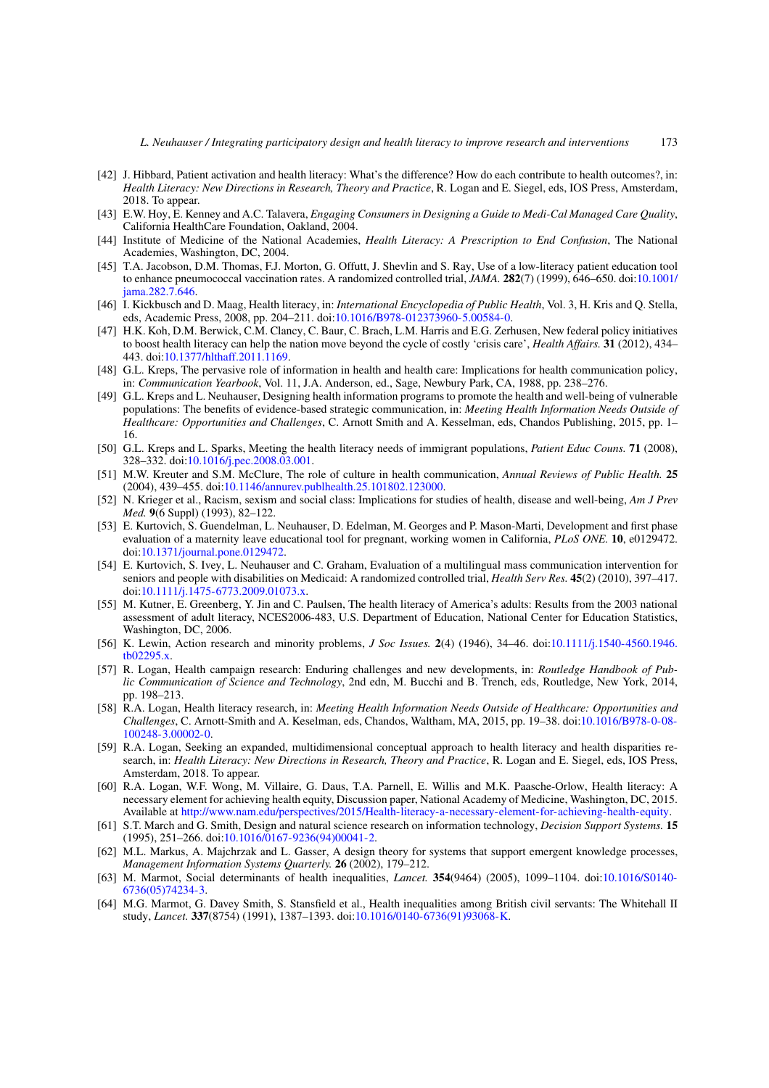- <span id="page-20-14"></span>[42] J. Hibbard, Patient activation and health literacy: What's the difference? How do each contribute to health outcomes?, in: *Health Literacy: New Directions in Research, Theory and Practice*, R. Logan and E. Siegel, eds, IOS Press, Amsterdam, 2018. To appear.
- <span id="page-20-17"></span>[43] E.W. Hoy, E. Kenney and A.C. Talavera, *Engaging Consumers in Designing a Guide to Medi-Cal Managed Care Quality*, California HealthCare Foundation, Oakland, 2004.
- <span id="page-20-12"></span>[44] Institute of Medicine of the National Academies, *Health Literacy: A Prescription to End Confusion*, The National Academies, Washington, DC, 2004.
- <span id="page-20-16"></span>[45] T.A. Jacobson, D.M. Thomas, F.J. Morton, G. Offutt, J. Shevlin and S. Ray, Use of a low-literacy patient education tool to enhance pneumococcal vaccination rates. A randomized controlled trial, *JAMA.* **282**(7) (1999), 646–650. doi[:10.1001/](http://dx.doi.org/10.1001/jama.282.7.646) [jama.282.7.646.](http://dx.doi.org/10.1001/jama.282.7.646)
- <span id="page-20-13"></span>[46] I. Kickbusch and D. Maag, Health literacy, in: *International Encyclopedia of Public Health*, Vol. 3, H. Kris and Q. Stella, eds, Academic Press, 2008, pp. 204–211. doi[:10.1016/B978-012373960-5.00584-0.](http://dx.doi.org/10.1016/B978-012373960-5.00584-0)
- <span id="page-20-10"></span>[47] H.K. Koh, D.M. Berwick, C.M. Clancy, C. Baur, C. Brach, L.M. Harris and E.G. Zerhusen, New federal policy initiatives to boost health literacy can help the nation move beyond the cycle of costly 'crisis care', *Health Affairs.* **31** (2012), 434– 443. doi[:10.1377/hlthaff.2011.1169.](http://dx.doi.org/10.1377/hlthaff.2011.1169)
- <span id="page-20-4"></span>[48] G.L. Kreps, The pervasive role of information in health and health care: Implications for health communication policy, in: *Communication Yearbook*, Vol. 11, J.A. Anderson, ed., Sage, Newbury Park, CA, 1988, pp. 238–276.
- <span id="page-20-8"></span>[49] G.L. Kreps and L. Neuhauser, Designing health information programs to promote the health and well-being of vulnerable populations: The benefits of evidence-based strategic communication, in: *Meeting Health Information Needs Outside of Healthcare: Opportunities and Challenges*, C. Arnott Smith and A. Kesselman, eds, Chandos Publishing, 2015, pp. 1– 16.
- <span id="page-20-6"></span>[50] G.L. Kreps and L. Sparks, Meeting the health literacy needs of immigrant populations, *Patient Educ Couns.* **71** (2008), 328–332. doi[:10.1016/j.pec.2008.03.001.](http://dx.doi.org/10.1016/j.pec.2008.03.001)
- <span id="page-20-7"></span>[51] M.W. Kreuter and S.M. McClure, The role of culture in health communication, *Annual Reviews of Public Health.* **25** (2004), 439–455. doi[:10.1146/annurev.publhealth.25.101802.123000.](http://dx.doi.org/10.1146/annurev.publhealth.25.101802.123000)
- <span id="page-20-2"></span>[52] N. Krieger et al., Racism, sexism and social class: Implications for studies of health, disease and well-being, *Am J Prev Med.* **9**(6 Suppl) (1993), 82–122.
- <span id="page-20-22"></span>[53] E. Kurtovich, S. Guendelman, L. Neuhauser, D. Edelman, M. Georges and P. Mason-Marti, Development and first phase evaluation of a maternity leave educational tool for pregnant, working women in California, *PLoS ONE.* **10**, e0129472. doi[:10.1371/journal.pone.0129472.](http://dx.doi.org/10.1371/journal.pone.0129472)
- <span id="page-20-21"></span>[54] E. Kurtovich, S. Ivey, L. Neuhauser and C. Graham, Evaluation of a multilingual mass communication intervention for seniors and people with disabilities on Medicaid: A randomized controlled trial, *Health Serv Res.* **45**(2) (2010), 397–417. doi[:10.1111/j.1475-6773.2009.01073.x.](http://dx.doi.org/10.1111/j.1475-6773.2009.01073.x)
- <span id="page-20-9"></span>[55] M. Kutner, E. Greenberg, Y. Jin and C. Paulsen, The health literacy of America's adults: Results from the 2003 national assessment of adult literacy, NCES2006-483, U.S. Department of Education, National Center for Education Statistics, Washington, DC, 2006.
- <span id="page-20-18"></span>[56] K. Lewin, Action research and minority problems, *J Soc Issues.* **2**(4) (1946), 34–46. doi[:10.1111/j.1540-4560.1946.](http://dx.doi.org/10.1111/j.1540-4560.1946.tb02295.x) [tb02295.x.](http://dx.doi.org/10.1111/j.1540-4560.1946.tb02295.x)
- <span id="page-20-5"></span>[57] R. Logan, Health campaign research: Enduring challenges and new developments, in: *Routledge Handbook of Public Communication of Science and Technology*, 2nd edn, M. Bucchi and B. Trench, eds, Routledge, New York, 2014, pp. 198–213.
- <span id="page-20-11"></span>[58] R.A. Logan, Health literacy research, in: *Meeting Health Information Needs Outside of Healthcare: Opportunities and Challenges*, C. Arnott-Smith and A. Keselman, eds, Chandos, Waltham, MA, 2015, pp. 19–38. doi[:10.1016/B978-0-08-](http://dx.doi.org/10.1016/B978-0-08-100248-3.00002-0) [100248-3.00002-0.](http://dx.doi.org/10.1016/B978-0-08-100248-3.00002-0)
- <span id="page-20-1"></span>[59] R.A. Logan, Seeking an expanded, multidimensional conceptual approach to health literacy and health disparities research, in: *Health Literacy: New Directions in Research, Theory and Practice*, R. Logan and E. Siegel, eds, IOS Press, Amsterdam, 2018. To appear.
- <span id="page-20-15"></span>[60] R.A. Logan, W.F. Wong, M. Villaire, G. Daus, T.A. Parnell, E. Willis and M.K. Paasche-Orlow, Health literacy: A necessary element for achieving health equity, Discussion paper, National Academy of Medicine, Washington, DC, 2015. Available at [http://www.nam.edu/perspectives/2015/Health-literacy-a-necessary-element-for-achieving-health-equity.](http://www.nam.edu/perspectives/2015/Health-literacy-a-necessary-element-for-achieving-health-equity)
- <span id="page-20-19"></span>[61] S.T. March and G. Smith, Design and natural science research on information technology, *Decision Support Systems.* **15** (1995), 251–266. doi[:10.1016/0167-9236\(94\)00041-2.](http://dx.doi.org/10.1016/0167-9236(94)00041-2)
- <span id="page-20-20"></span>[62] M.L. Markus, A. Majchrzak and L. Gasser, A design theory for systems that support emergent knowledge processes, *Management Information Systems Quarterly.* **26** (2002), 179–212.
- <span id="page-20-3"></span>[63] M. Marmot, Social determinants of health inequalities, *Lancet.* **354**(9464) (2005), 1099–1104. doi[:10.1016/S0140-](http://dx.doi.org/10.1016/S0140-6736(05)74234-3) [6736\(05\)74234-3.](http://dx.doi.org/10.1016/S0140-6736(05)74234-3)
- <span id="page-20-0"></span>[64] M.G. Marmot, G. Davey Smith, S. Stansfield et al., Health inequalities among British civil servants: The Whitehall II study, *Lancet.* **337**(8754) (1991), 1387–1393. doi[:10.1016/0140-6736\(91\)93068-K.](http://dx.doi.org/10.1016/0140-6736(91)93068-K)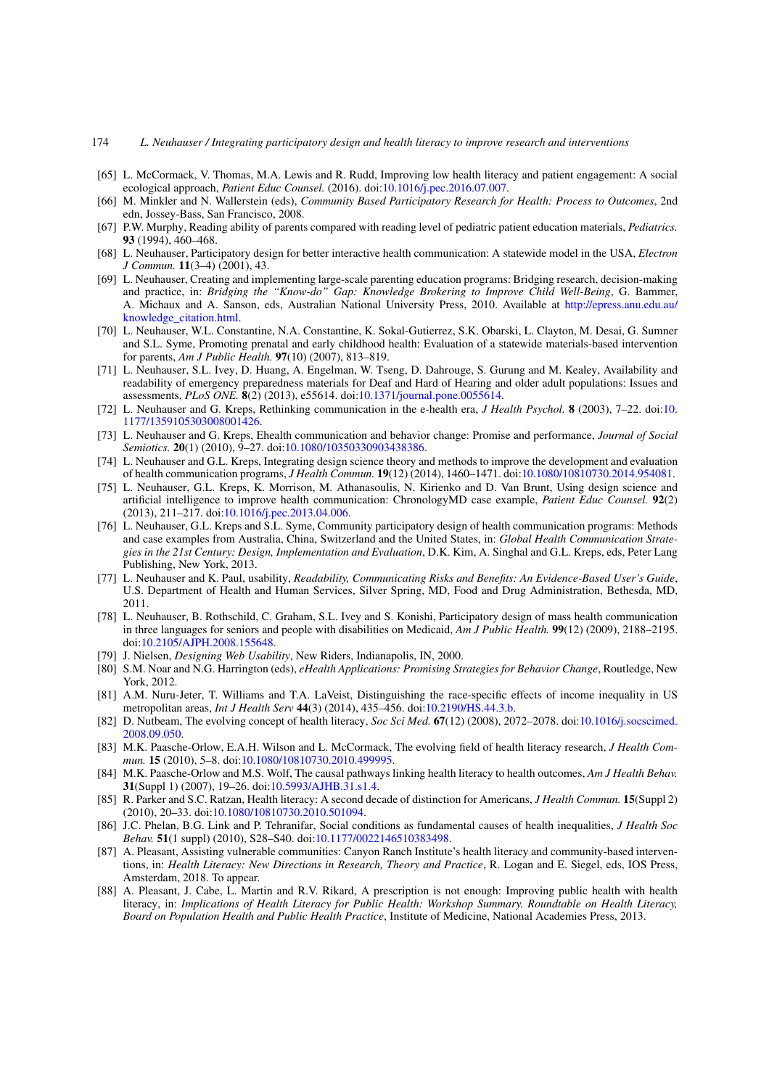- <span id="page-21-0"></span>[65] L. McCormack, V. Thomas, M.A. Lewis and R. Rudd, Improving low health literacy and patient engagement: A social ecological approach, *Patient Educ Counsel.* (2016). doi[:10.1016/j.pec.2016.07.007.](http://dx.doi.org/10.1016/j.pec.2016.07.007)
- <span id="page-21-16"></span>[66] M. Minkler and N. Wallerstein (eds), *Community Based Participatory Research for Health: Process to Outcomes*, 2nd edn, Jossey-Bass, San Francisco, 2008.
- <span id="page-21-11"></span>[67] P.W. Murphy, Reading ability of parents compared with reading level of pediatric patient education materials, *Pediatrics.* **93** (1994), 460–468.
- <span id="page-21-17"></span>[68] L. Neuhauser, Participatory design for better interactive health communication: A statewide model in the USA, *Electron J Commun.* **11**(3–4) (2001), 43.
- <span id="page-21-23"></span>[69] L. Neuhauser, Creating and implementing large-scale parenting education programs: Bridging research, decision-making and practice, in: *Bridging the "Know-do" Gap: Knowledge Brokering to Improve Child Well-Being*, G. Bammer, A. Michaux and A. Sanson, eds, Australian National University Press, 2010. Available at [http://epress.anu.edu.au/](http://epress.anu.edu.au/knowledge_citation.html) [knowledge\\_citation.html.](http://epress.anu.edu.au/knowledge_citation.html)
- <span id="page-21-13"></span>[70] L. Neuhauser, W.L. Constantine, N.A. Constantine, K. Sokal-Gutierrez, S.K. Obarski, L. Clayton, M. Desai, G. Sumner and S.L. Syme, Promoting prenatal and early childhood health: Evaluation of a statewide materials-based intervention for parents, *Am J Public Health.* **97**(10) (2007), 813–819.
- <span id="page-21-5"></span>[71] L. Neuhauser, S.L. Ivey, D. Huang, A. Engelman, W. Tseng, D. Dahrouge, S. Gurung and M. Kealey, Availability and readability of emergency preparedness materials for Deaf and Hard of Hearing and older adult populations: Issues and assessments, *PLoS ONE.* **8**(2) (2013), e55614. doi[:10.1371/journal.pone.0055614.](http://dx.doi.org/10.1371/journal.pone.0055614)
- <span id="page-21-3"></span>[72] L. Neuhauser and G. Kreps, Rethinking communication in the e-health era, *J Health Psychol.* **8** (2003), 7–22. doi[:10.](http://dx.doi.org/10.1177/1359105303008001426) [1177/1359105303008001426.](http://dx.doi.org/10.1177/1359105303008001426)
- <span id="page-21-4"></span>[73] L. Neuhauser and G. Kreps, Ehealth communication and behavior change: Promise and performance, *Journal of Social Semiotics.* **20**(1) (2010), 9–27. doi[:10.1080/10350330903438386.](http://dx.doi.org/10.1080/10350330903438386)
- <span id="page-21-18"></span>[74] L. Neuhauser and G.L. Kreps, Integrating design science theory and methods to improve the development and evaluation of health communication programs, *J Health Commun.* **19**(12) (2014), 1460–1471. doi[:10.1080/10810730.2014.954081.](http://dx.doi.org/10.1080/10810730.2014.954081)
- <span id="page-21-21"></span>[75] L. Neuhauser, G.L. Kreps, K. Morrison, M. Athanasoulis, N. Kirienko and D. Van Brunt, Using design science and artificial intelligence to improve health communication: ChronologyMD case example, *Patient Educ Counsel.* **92**(2) (2013), 211–217. doi[:10.1016/j.pec.2013.04.006.](http://dx.doi.org/10.1016/j.pec.2013.04.006)
- <span id="page-21-19"></span>[76] L. Neuhauser, G.L. Kreps and S.L. Syme, Community participatory design of health communication programs: Methods and case examples from Australia, China, Switzerland and the United States, in: *Global Health Communication Strategies in the 21st Century: Design, Implementation and Evaluation*, D.K. Kim, A. Singhal and G.L. Kreps, eds, Peter Lang Publishing, New York, 2013.
- <span id="page-21-14"></span>[77] L. Neuhauser and K. Paul, usability, *Readability, Communicating Risks and Benefits: An Evidence-Based User's Guide*, U.S. Department of Health and Human Services, Silver Spring, MD, Food and Drug Administration, Bethesda, MD, 2011.
- <span id="page-21-12"></span>[78] L. Neuhauser, B. Rothschild, C. Graham, S.L. Ivey and S. Konishi, Participatory design of mass health communication in three languages for seniors and people with disabilities on Medicaid, *Am J Public Health.* **99**(12) (2009), 2188–2195. doi[:10.2105/AJPH.2008.155648.](http://dx.doi.org/10.2105/AJPH.2008.155648)
- <span id="page-21-22"></span>[79] J. Nielsen, *Designing Web Usability*, New Riders, Indianapolis, IN, 2000.
- <span id="page-21-20"></span>[80] S.M. Noar and N.G. Harrington (eds), *eHealth Applications: Promising Strategies for Behavior Change*, Routledge, New York, 2012.
- <span id="page-21-2"></span>[81] A.M. Nuru-Jeter, T. Williams and T.A. LaVeist, Distinguishing the race-specific effects of income inequality in US metropolitan areas, *Int J Health Serv* **44**(3) (2014), 435–456. doi[:10.2190/HS.44.3.b.](http://dx.doi.org/10.2190/HS.44.3.b)
- <span id="page-21-8"></span>[82] D. Nutbeam, The evolving concept of health literacy, *Soc Sci Med.* **67**(12) (2008), 2072–2078. doi[:10.1016/j.socscimed.](http://dx.doi.org/10.1016/j.socscimed.2008.09.050) [2008.09.050.](http://dx.doi.org/10.1016/j.socscimed.2008.09.050)
- <span id="page-21-6"></span>[83] M.K. Paasche-Orlow, E.A.H. Wilson and L. McCormack, The evolving field of health literacy research, *J Health Commun.* **15** (2010), 5–8. doi[:10.1080/10810730.2010.499995.](http://dx.doi.org/10.1080/10810730.2010.499995)
- <span id="page-21-10"></span>[84] M.K. Paasche-Orlow and M.S. Wolf, The causal pathways linking health literacy to health outcomes, *Am J Health Behav.* **31**(Suppl 1) (2007), 19–26. doi[:10.5993/AJHB.31.s1.4.](http://dx.doi.org/10.5993/AJHB.31.s1.4)
- <span id="page-21-7"></span>[85] R. Parker and S.C. Ratzan, Health literacy: A second decade of distinction for Americans, *J Health Commun.* **15**(Suppl 2) (2010), 20–33. doi[:10.1080/10810730.2010.501094.](http://dx.doi.org/10.1080/10810730.2010.501094)
- <span id="page-21-1"></span>[86] J.C. Phelan, B.G. Link and P. Tehranifar, Social conditions as fundamental causes of health inequalities, *J Health Soc Behav.* **51**(1 suppl) (2010), S28–S40. doi[:10.1177/0022146510383498.](http://dx.doi.org/10.1177/0022146510383498)
- <span id="page-21-15"></span>[87] A. Pleasant, Assisting vulnerable communities: Canyon Ranch Institute's health literacy and community-based interventions, in: *Health Literacy: New Directions in Research, Theory and Practice*, R. Logan and E. Siegel, eds, IOS Press, Amsterdam, 2018. To appear.
- <span id="page-21-9"></span>[88] A. Pleasant, J. Cabe, L. Martin and R.V. Rikard, A prescription is not enough: Improving public health with health literacy, in: *Implications of Health Literacy for Public Health: Workshop Summary. Roundtable on Health Literacy, Board on Population Health and Public Health Practice*, Institute of Medicine, National Academies Press, 2013.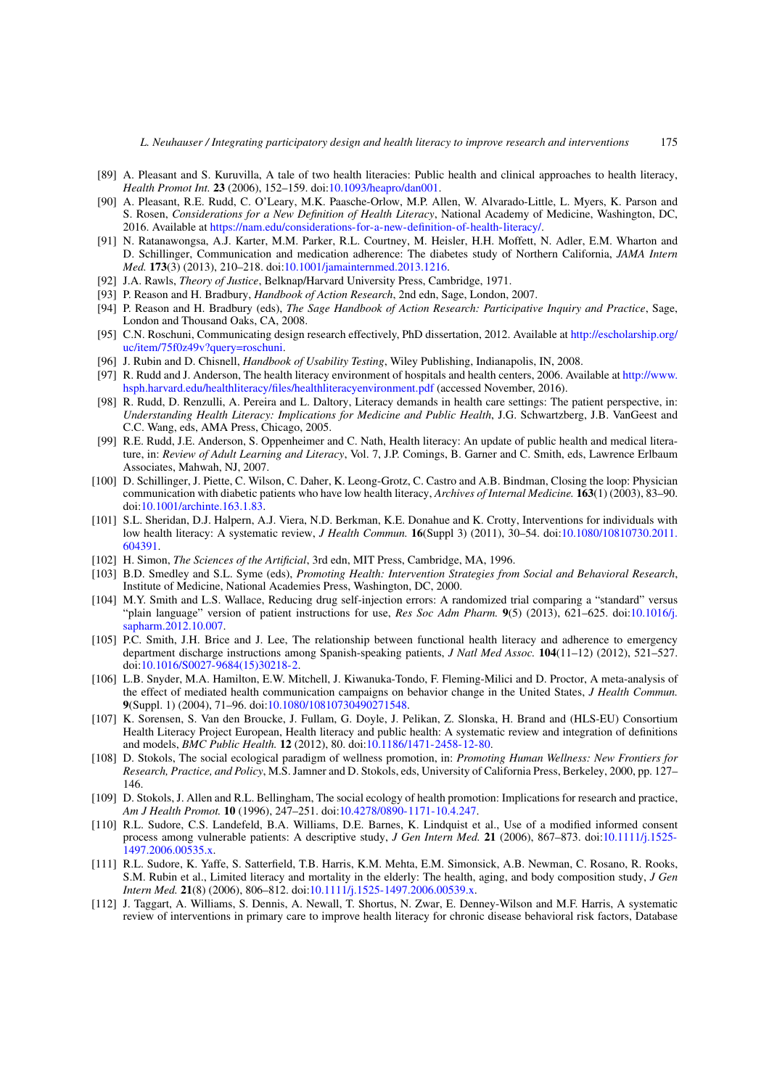- <span id="page-22-18"></span>[89] A. Pleasant and S. Kuruvilla, A tale of two health literacies: Public health and clinical approaches to health literacy, *Health Promot Int.* **23** (2006), 152–159. doi[:10.1093/heapro/dan001.](http://dx.doi.org/10.1093/heapro/dan001)
- <span id="page-22-7"></span>[90] A. Pleasant, R.E. Rudd, C. O'Leary, M.K. Paasche-Orlow, M.P. Allen, W. Alvarado-Little, L. Myers, K. Parson and S. Rosen, *Considerations for a New Definition of Health Literacy*, National Academy of Medicine, Washington, DC, 2016. Available at [https://nam.edu/considerations-for-a-new-definition-of-health-literacy/.](https://nam.edu/considerations-for-a-new-definition-of-health-literacy/)
- <span id="page-22-14"></span>[91] N. Ratanawongsa, A.J. Karter, M.M. Parker, R.L. Courtney, M. Heisler, H.H. Moffett, N. Adler, E.M. Wharton and D. Schillinger, Communication and medication adherence: The diabetes study of Northern California, *JAMA Intern Med.* **173**(3) (2013), 210–218. doi[:10.1001/jamainternmed.2013.1216.](http://dx.doi.org/10.1001/jamainternmed.2013.1216)
- <span id="page-22-3"></span>[92] J.A. Rawls, *Theory of Justice*, Belknap/Harvard University Press, Cambridge, 1971.
- <span id="page-22-19"></span>[93] P. Reason and H. Bradbury, *Handbook of Action Research*, 2nd edn, Sage, London, 2007.
- <span id="page-22-20"></span>[94] P. Reason and H. Bradbury (eds), *The Sage Handbook of Action Research: Participative Inquiry and Practice*, Sage, London and Thousand Oaks, CA, 2008.
- <span id="page-22-22"></span>[95] C.N. Roschuni, Communicating design research effectively, PhD dissertation, 2012. Available at [http://escholarship.org/](http://escholarship.org/uc/item/75f0z49v?query=roschuni) [uc/item/75f0z49v?query=roschuni.](http://escholarship.org/uc/item/75f0z49v?query=roschuni)
- <span id="page-22-23"></span>[96] J. Rubin and D. Chisnell, *Handbook of Usability Testing*, Wiley Publishing, Indianapolis, IN, 2008.
- <span id="page-22-17"></span>[97] R. Rudd and J. Anderson, The health literacy environment of hospitals and health centers, 2006. Available at [http://www.](http://www.hsph.harvard.edu/healthliteracy/files/healthliteracyenvironment.pdf) [hsph.harvard.edu/healthliteracy/files/healthliteracyenvironment.pdf](http://www.hsph.harvard.edu/healthliteracy/files/healthliteracyenvironment.pdf) (accessed November, 2016).
- <span id="page-22-6"></span>[98] R. Rudd, D. Renzulli, A. Pereira and L. Daltory, Literacy demands in health care settings: The patient perspective, in: *Understanding Health Literacy: Implications for Medicine and Public Health*, J.G. Schwartzberg, J.B. VanGeest and C.C. Wang, eds, AMA Press, Chicago, 2005.
- <span id="page-22-9"></span>[99] R.E. Rudd, J.E. Anderson, S. Oppenheimer and C. Nath, Health literacy: An update of public health and medical literature, in: *Review of Adult Learning and Literacy*, Vol. 7, J.P. Comings, B. Garner and C. Smith, eds, Lawrence Erlbaum Associates, Mahwah, NJ, 2007.
- <span id="page-22-10"></span>[100] D. Schillinger, J. Piette, C. Wilson, C. Daher, K. Leong-Grotz, C. Castro and A.B. Bindman, Closing the loop: Physician communication with diabetic patients who have low health literacy, *Archives of Internal Medicine.* **163**(1) (2003), 83–90. doi[:10.1001/archinte.163.1.83.](http://dx.doi.org/10.1001/archinte.163.1.83)
- <span id="page-22-11"></span>[101] S.L. Sheridan, D.J. Halpern, A.J. Viera, N.D. Berkman, K.E. Donahue and K. Crotty, Interventions for individuals with low health literacy: A systematic review, *J Health Commun.* **16**(Suppl 3) (2011), 30–54. doi[:10.1080/10810730.2011.](http://dx.doi.org/10.1080/10810730.2011.604391) [604391.](http://dx.doi.org/10.1080/10810730.2011.604391)
- <span id="page-22-21"></span>[102] H. Simon, *The Sciences of the Artificial*, 3rd edn, MIT Press, Cambridge, MA, 1996.
- <span id="page-22-0"></span>[103] B.D. Smedley and S.L. Syme (eds), *Promoting Health: Intervention Strategies from Social and Behavioral Research*, Institute of Medicine, National Academies Press, Washington, DC, 2000.
- <span id="page-22-15"></span>[104] M.Y. Smith and L.S. Wallace, Reducing drug self-injection errors: A randomized trial comparing a "standard" versus "plain language" version of patient instructions for use, *Res Soc Adm Pharm.* **9**(5) (2013), 621–625. doi[:10.1016/j.](http://dx.doi.org/10.1016/j.sapharm.2012.10.007) [sapharm.2012.10.007.](http://dx.doi.org/10.1016/j.sapharm.2012.10.007)
- <span id="page-22-16"></span>[105] P.C. Smith, J.H. Brice and J. Lee, The relationship between functional health literacy and adherence to emergency department discharge instructions among Spanish-speaking patients, *J Natl Med Assoc.* **104**(11–12) (2012), 521–527. doi[:10.1016/S0027-9684\(15\)30218-2.](http://dx.doi.org/10.1016/S0027-9684(15)30218-2)
- <span id="page-22-4"></span>[106] L.B. Snyder, M.A. Hamilton, E.W. Mitchell, J. Kiwanuka-Tondo, F. Fleming-Milici and D. Proctor, A meta-analysis of the effect of mediated health communication campaigns on behavior change in the United States, *J Health Commun.* **9**(Suppl. 1) (2004), 71–96. doi[:10.1080/10810730490271548.](http://dx.doi.org/10.1080/10810730490271548)
- <span id="page-22-5"></span>[107] K. Sorensen, S. Van den Broucke, J. Fullam, G. Doyle, J. Pelikan, Z. Slonska, H. Brand and (HLS-EU) Consortium Health Literacy Project European, Health literacy and public health: A systematic review and integration of definitions and models, *BMC Public Health.* **12** (2012), 80. doi[:10.1186/1471-2458-12-80.](http://dx.doi.org/10.1186/1471-2458-12-80)
- <span id="page-22-1"></span>[108] D. Stokols, The social ecological paradigm of wellness promotion, in: *Promoting Human Wellness: New Frontiers for Research, Practice, and Policy*, M.S. Jamner and D. Stokols, eds, University of California Press, Berkeley, 2000, pp. 127– 146.
- <span id="page-22-2"></span>[109] D. Stokols, J. Allen and R.L. Bellingham, The social ecology of health promotion: Implications for research and practice, *Am J Health Promot.* **10** (1996), 247–251. doi[:10.4278/0890-1171-10.4.247.](http://dx.doi.org/10.4278/0890-1171-10.4.247)
- <span id="page-22-12"></span>[110] R.L. Sudore, C.S. Landefeld, B.A. Williams, D.E. Barnes, K. Lindquist et al., Use of a modified informed consent process among vulnerable patients: A descriptive study, *J Gen Intern Med.* **21** (2006), 867–873. doi[:10.1111/j.1525-](http://dx.doi.org/10.1111/j.1525-1497.2006.00535.x) [1497.2006.00535.x.](http://dx.doi.org/10.1111/j.1525-1497.2006.00535.x)
- <span id="page-22-8"></span>[111] R.L. Sudore, K. Yaffe, S. Satterfield, T.B. Harris, K.M. Mehta, E.M. Simonsick, A.B. Newman, C. Rosano, R. Rooks, S.M. Rubin et al., Limited literacy and mortality in the elderly: The health, aging, and body composition study, *J Gen Intern Med.* **21**(8) (2006), 806–812. doi[:10.1111/j.1525-1497.2006.00539.x.](http://dx.doi.org/10.1111/j.1525-1497.2006.00539.x)
- <span id="page-22-13"></span>[112] J. Taggart, A. Williams, S. Dennis, A. Newall, T. Shortus, N. Zwar, E. Denney-Wilson and M.F. Harris, A systematic review of interventions in primary care to improve health literacy for chronic disease behavioral risk factors, Database